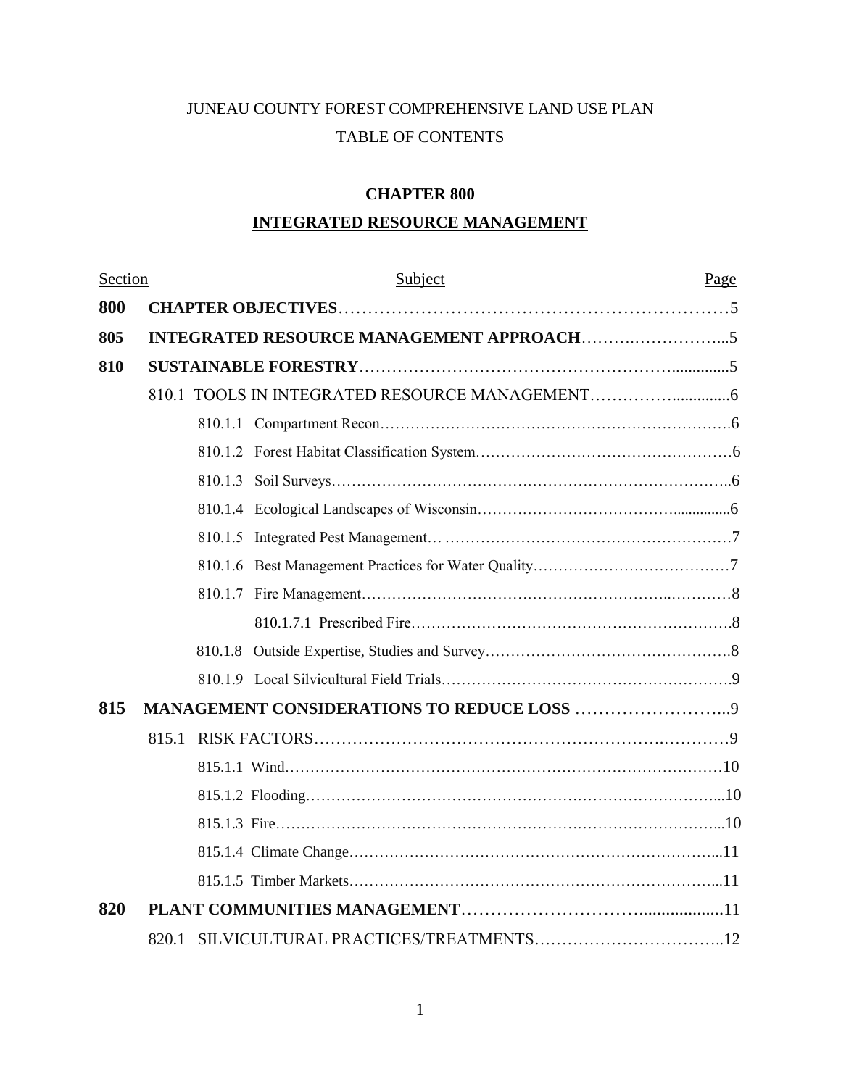# JUNEAU COUNTY FOREST COMPREHENSIVE LAND USE PLAN TABLE OF CONTENTS

# **CHAPTER 800**

# **INTEGRATED RESOURCE MANAGEMENT**

| Section |       | Subject                                    | Page |
|---------|-------|--------------------------------------------|------|
| 800     |       |                                            |      |
| 805     |       |                                            |      |
| 810     |       |                                            |      |
|         |       |                                            |      |
|         |       |                                            |      |
|         |       |                                            |      |
|         |       |                                            |      |
|         |       |                                            |      |
|         |       |                                            |      |
|         |       |                                            |      |
|         |       |                                            |      |
|         |       |                                            |      |
|         |       |                                            |      |
|         |       |                                            |      |
| 815     |       | MANAGEMENT CONSIDERATIONS TO REDUCE LOSS 9 |      |
|         | 815.1 |                                            |      |
|         |       |                                            |      |
|         |       |                                            |      |
|         |       |                                            |      |
|         |       |                                            |      |
|         |       |                                            |      |
| 820     |       |                                            |      |
|         | 820.1 |                                            |      |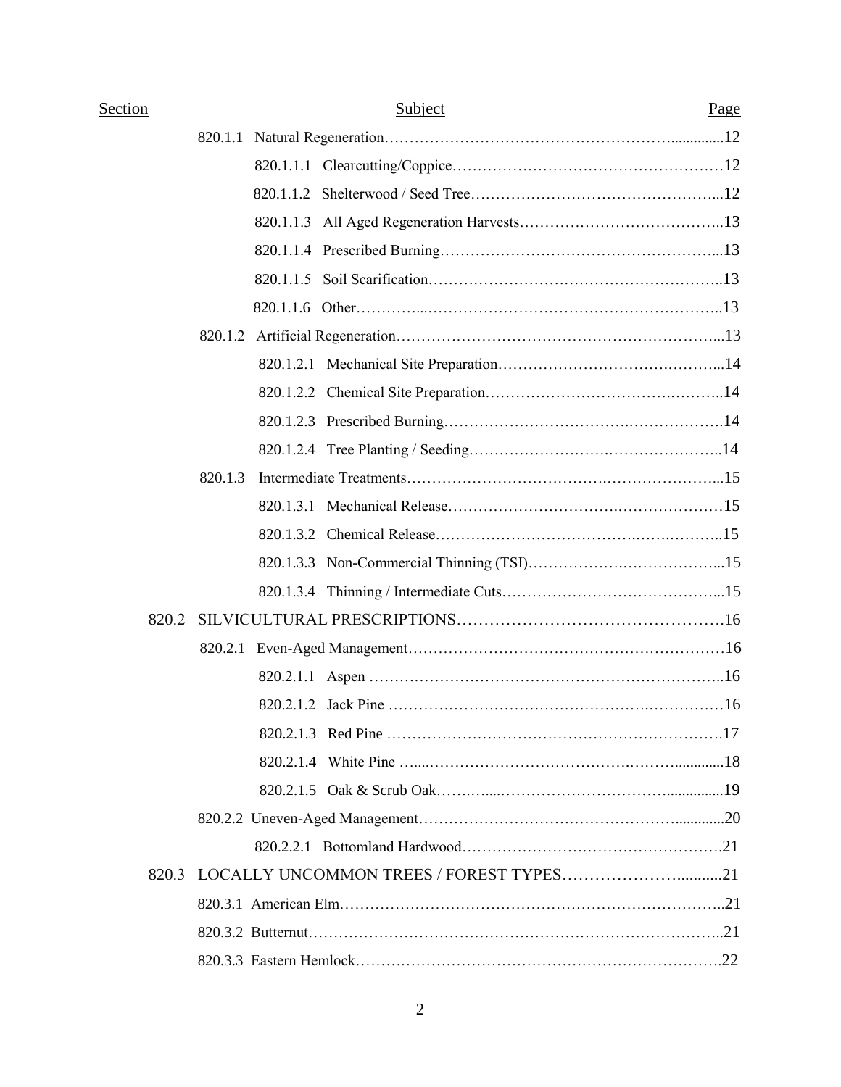| Section |         | Subject                                       | Page |
|---------|---------|-----------------------------------------------|------|
|         | 820.1.1 |                                               |      |
|         |         |                                               |      |
|         |         |                                               |      |
|         |         |                                               |      |
|         |         |                                               |      |
|         |         |                                               |      |
|         |         |                                               |      |
|         |         |                                               |      |
|         |         |                                               |      |
|         |         |                                               |      |
|         |         |                                               |      |
|         |         |                                               |      |
|         | 820.1.3 |                                               |      |
|         |         |                                               |      |
|         |         |                                               |      |
|         |         |                                               |      |
|         |         |                                               |      |
| 820.2   |         |                                               |      |
|         |         |                                               |      |
|         |         |                                               |      |
|         |         |                                               |      |
|         |         |                                               |      |
|         |         |                                               |      |
|         |         |                                               |      |
|         |         |                                               |      |
|         |         |                                               |      |
|         |         | 820.3 LOCALLY UNCOMMON TREES / FOREST TYPES21 |      |
|         |         |                                               |      |
|         |         |                                               |      |
|         |         |                                               |      |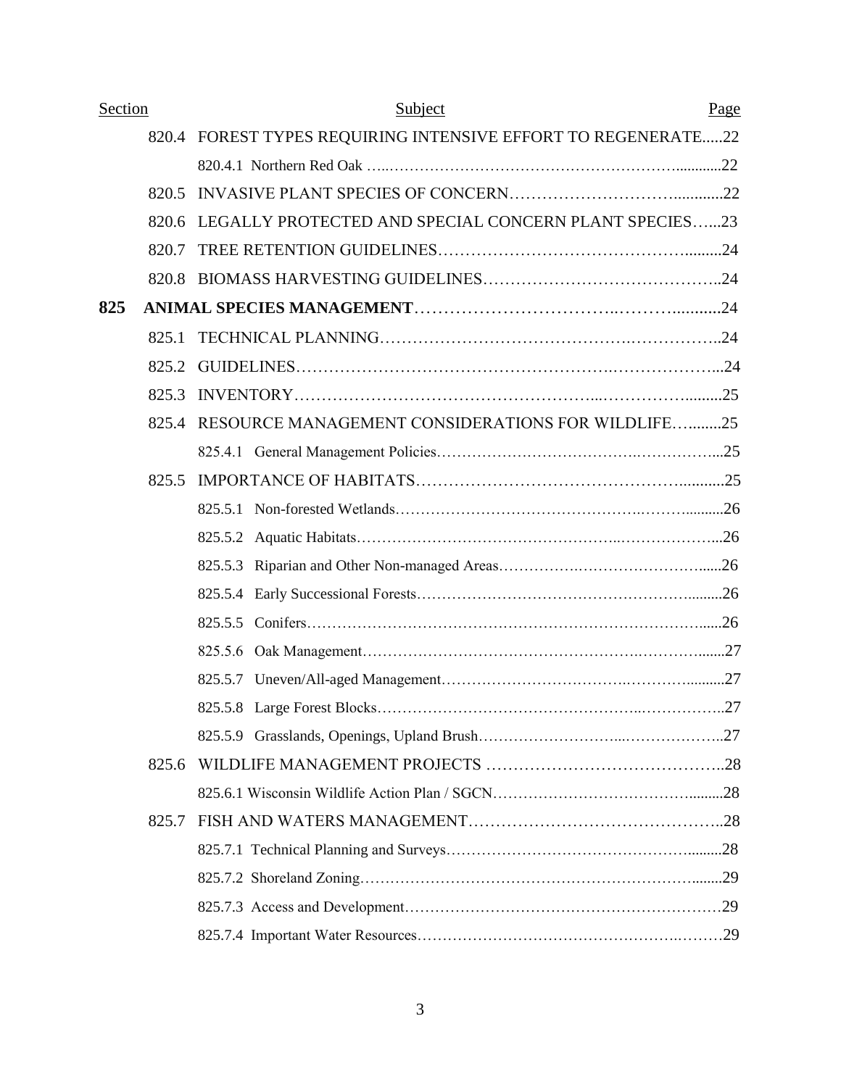| Section |       | Subject                                                       | Page |
|---------|-------|---------------------------------------------------------------|------|
|         |       | 820.4 FOREST TYPES REQUIRING INTENSIVE EFFORT TO REGENERATE22 |      |
|         |       |                                                               |      |
|         | 820.5 |                                                               |      |
|         | 820.6 | LEGALLY PROTECTED AND SPECIAL CONCERN PLANT SPECIES23         |      |
|         | 820.7 |                                                               |      |
|         |       |                                                               |      |
| 825     |       |                                                               |      |
|         | 825.1 |                                                               |      |
|         | 825.2 |                                                               |      |
|         | 825.3 |                                                               |      |
|         | 825.4 | <b>RESOURCE MANAGEMENT CONSIDERATIONS FOR WILDLIFE25</b>      |      |
|         |       |                                                               |      |
|         | 825.5 |                                                               |      |
|         |       |                                                               |      |
|         |       |                                                               |      |
|         |       |                                                               |      |
|         |       |                                                               |      |
|         |       |                                                               |      |
|         |       |                                                               |      |
|         |       |                                                               |      |
|         |       |                                                               |      |
|         |       |                                                               |      |
|         | 825.6 |                                                               |      |
|         |       |                                                               |      |
|         | 825.7 |                                                               |      |
|         |       |                                                               |      |
|         |       |                                                               |      |
|         |       |                                                               |      |
|         |       |                                                               |      |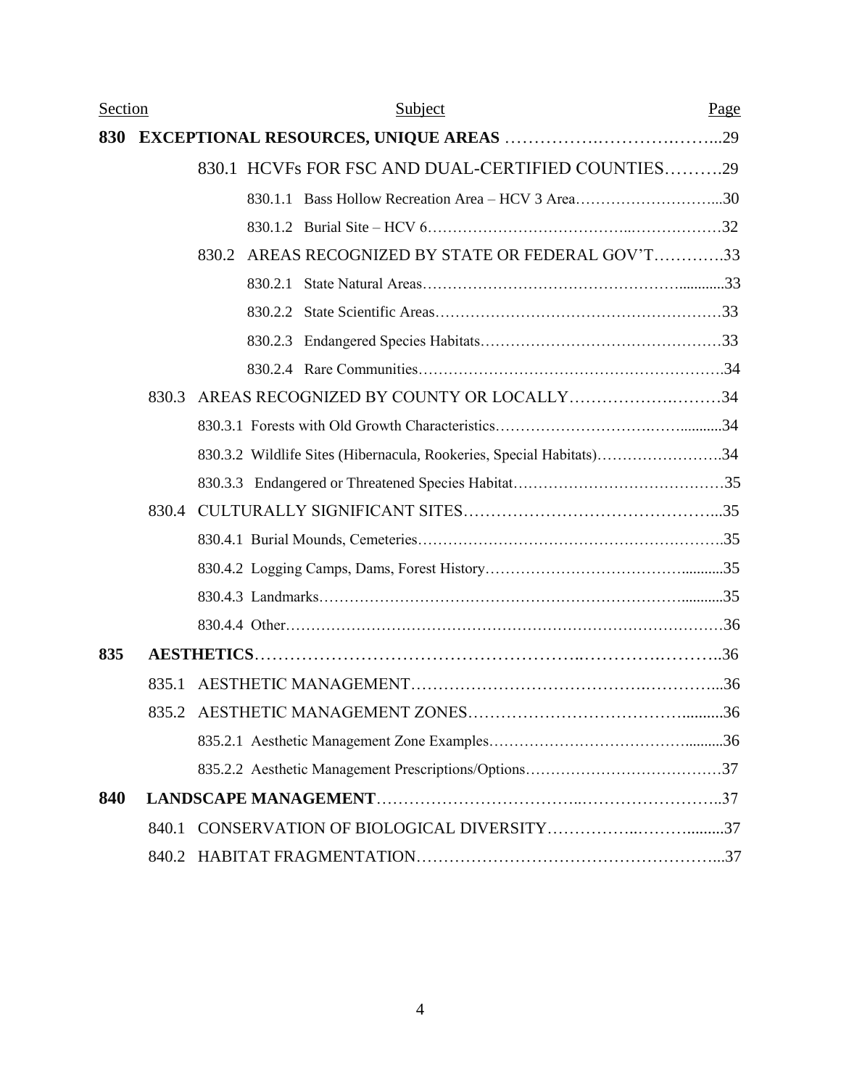| <b>Section</b> |       | Subject                                                             | Page |
|----------------|-------|---------------------------------------------------------------------|------|
| 830            |       |                                                                     |      |
|                |       | 830.1 HCVFs FOR FSC AND DUAL-CERTIFIED COUNTIES29                   |      |
|                |       | 830.1.1 Bass Hollow Recreation Area - HCV 3 Area30                  |      |
|                |       |                                                                     |      |
|                |       | AREAS RECOGNIZED BY STATE OR FEDERAL GOV'T33<br>830.2               |      |
|                |       |                                                                     |      |
|                |       |                                                                     |      |
|                |       |                                                                     |      |
|                |       |                                                                     |      |
|                | 830.3 | AREAS RECOGNIZED BY COUNTY OR LOCALLY34                             |      |
|                |       |                                                                     |      |
|                |       | 830.3.2 Wildlife Sites (Hibernacula, Rookeries, Special Habitats)34 |      |
|                |       |                                                                     |      |
|                |       |                                                                     |      |
|                |       |                                                                     |      |
|                |       |                                                                     |      |
|                |       |                                                                     |      |
|                |       |                                                                     |      |
| 835            |       |                                                                     |      |
|                | 835.1 |                                                                     |      |
|                |       |                                                                     |      |
|                |       |                                                                     |      |
|                |       |                                                                     |      |
| 840            |       |                                                                     |      |
|                | 840.1 |                                                                     |      |
|                |       |                                                                     |      |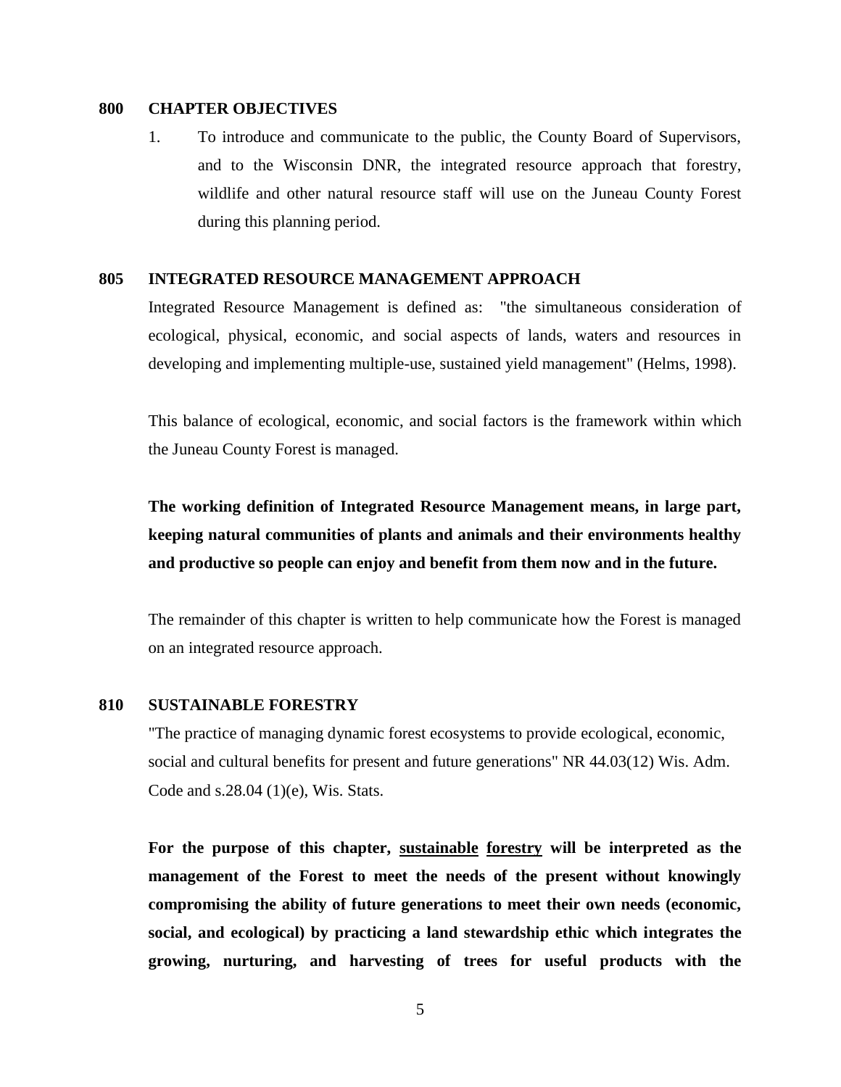# **800 CHAPTER OBJECTIVES**

1. To introduce and communicate to the public, the County Board of Supervisors, and to the Wisconsin DNR, the integrated resource approach that forestry, wildlife and other natural resource staff will use on the Juneau County Forest during this planning period.

# **805 INTEGRATED RESOURCE MANAGEMENT APPROACH**

Integrated Resource Management is defined as: "the simultaneous consideration of ecological, physical, economic, and social aspects of lands, waters and resources in developing and implementing multiple-use, sustained yield management" (Helms, 1998).

This balance of ecological, economic, and social factors is the framework within which the Juneau County Forest is managed.

**The working definition of Integrated Resource Management means, in large part, keeping natural communities of plants and animals and their environments healthy and productive so people can enjoy and benefit from them now and in the future.** 

The remainder of this chapter is written to help communicate how the Forest is managed on an integrated resource approach.

# **810 SUSTAINABLE FORESTRY**

"The practice of managing dynamic forest ecosystems to provide ecological, economic, social and cultural benefits for present and future generations" NR 44.03(12) Wis. Adm. Code and s.28.04 (1)(e), Wis. Stats.

**For the purpose of this chapter, sustainable forestry will be interpreted as the management of the Forest to meet the needs of the present without knowingly compromising the ability of future generations to meet their own needs (economic, social, and ecological) by practicing a land stewardship ethic which integrates the growing, nurturing, and harvesting of trees for useful products with the**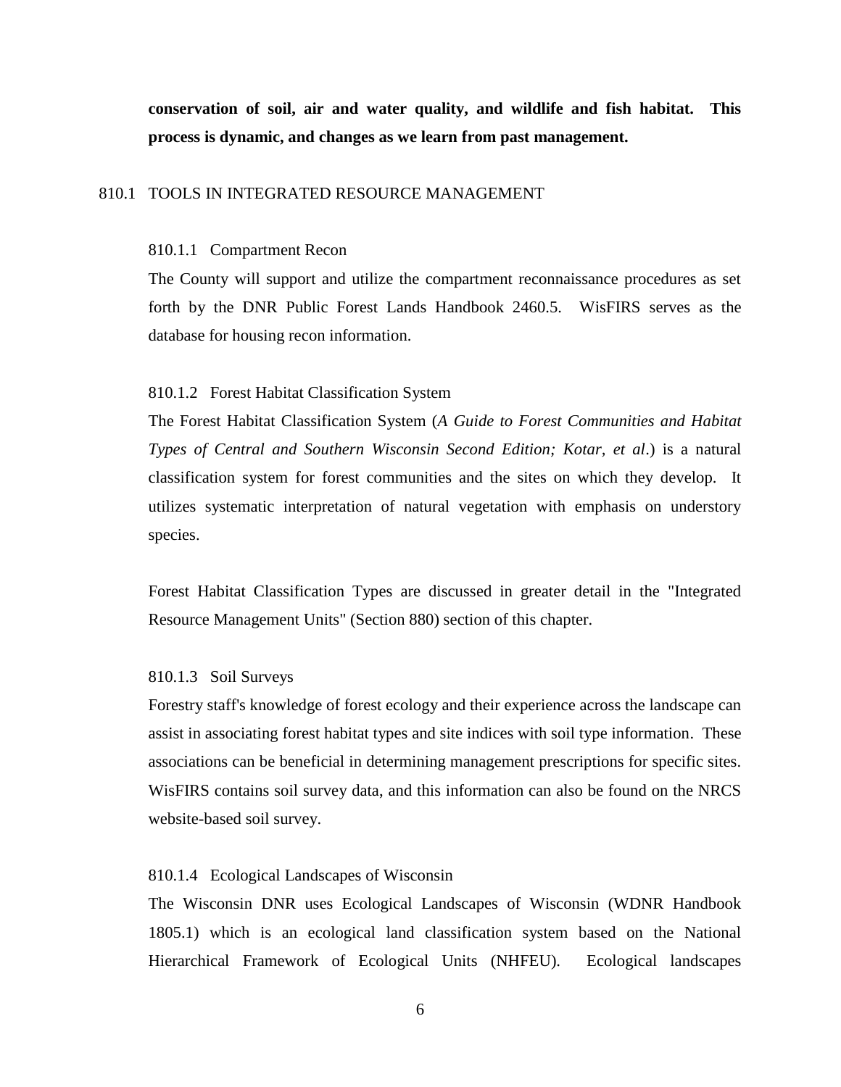**conservation of soil, air and water quality, and wildlife and fish habitat. This process is dynamic, and changes as we learn from past management.**

### 810.1 TOOLS IN INTEGRATED RESOURCE MANAGEMENT

#### 810.1.1 Compartment Recon

The County will support and utilize the compartment reconnaissance procedures as set forth by the DNR Public Forest Lands Handbook 2460.5. WisFIRS serves as the database for housing recon information.

## 810.1.2 Forest Habitat Classification System

The Forest Habitat Classification System (*A Guide to Forest Communities and Habitat Types of Central and Southern Wisconsin Second Edition; Kotar, et al*.) is a natural classification system for forest communities and the sites on which they develop. It utilizes systematic interpretation of natural vegetation with emphasis on understory species.

Forest Habitat Classification Types are discussed in greater detail in the "Integrated Resource Management Units" (Section 880) section of this chapter.

#### 810.1.3 Soil Surveys

Forestry staff's knowledge of forest ecology and their experience across the landscape can assist in associating forest habitat types and site indices with soil type information. These associations can be beneficial in determining management prescriptions for specific sites. WisFIRS contains soil survey data, and this information can also be found on the NRCS website-based soil survey.

#### 810.1.4 Ecological Landscapes of Wisconsin

The Wisconsin DNR uses Ecological Landscapes of Wisconsin (WDNR Handbook 1805.1) which is an ecological land classification system based on the National Hierarchical Framework of Ecological Units (NHFEU). Ecological landscapes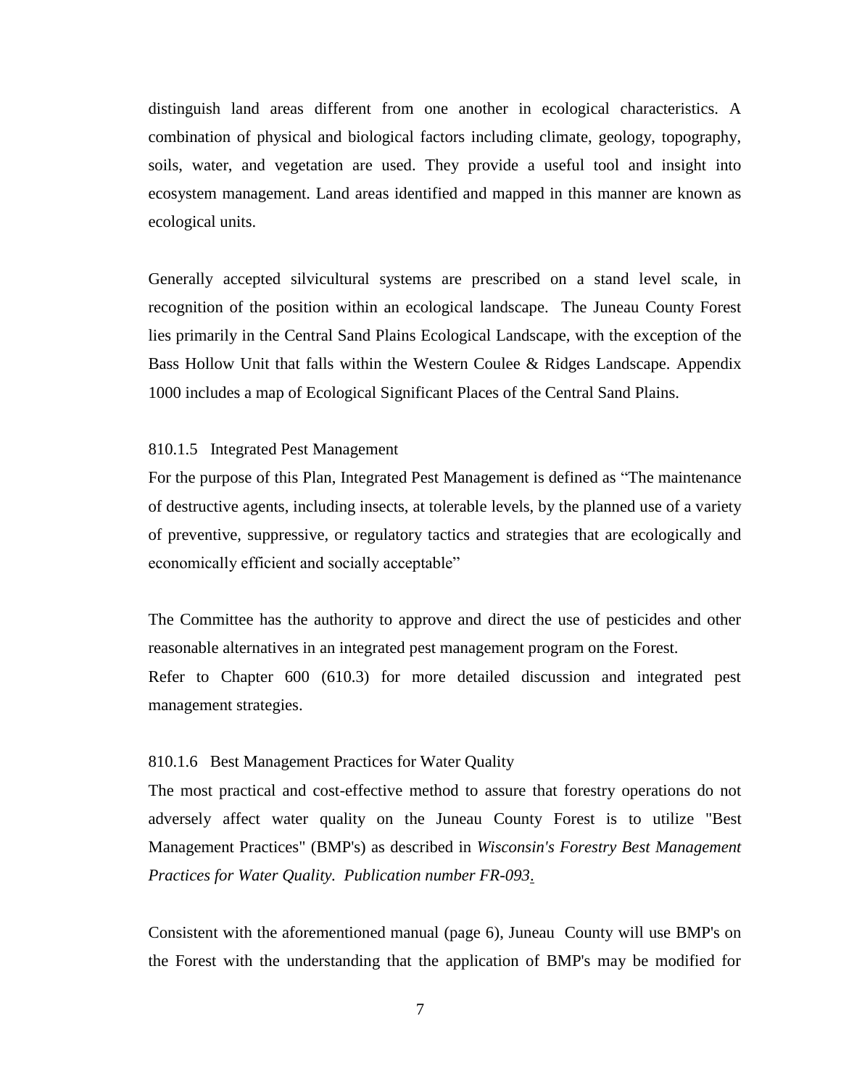distinguish land areas different from one another in ecological characteristics. A combination of physical and biological factors including climate, geology, topography, soils, water, and vegetation are used. They provide a useful tool and insight into ecosystem management. Land areas identified and mapped in this manner are known as ecological units.

Generally accepted silvicultural systems are prescribed on a stand level scale, in recognition of the position within an ecological landscape. The Juneau County Forest lies primarily in the Central Sand Plains Ecological Landscape, with the exception of the Bass Hollow Unit that falls within the Western Coulee & Ridges Landscape. Appendix 1000 includes a map of Ecological Significant Places of the Central Sand Plains.

### 810.1.5 Integrated Pest Management

For the purpose of this Plan, Integrated Pest Management is defined as "The maintenance of destructive agents, including insects, at tolerable levels, by the planned use of a variety of preventive, suppressive, or regulatory tactics and strategies that are ecologically and economically efficient and socially acceptable"

The Committee has the authority to approve and direct the use of pesticides and other reasonable alternatives in an integrated pest management program on the Forest.

Refer to Chapter 600 (610.3) for more detailed discussion and integrated pest management strategies.

# 810.1.6 Best Management Practices for Water Quality

The most practical and cost-effective method to assure that forestry operations do not adversely affect water quality on the Juneau County Forest is to utilize "Best Management Practices" (BMP's) as described in *Wisconsin's Forestry Best Management Practices for Water Quality. Publication number FR-093*.

Consistent with the aforementioned manual (page 6), Juneau County will use BMP's on the Forest with the understanding that the application of BMP's may be modified for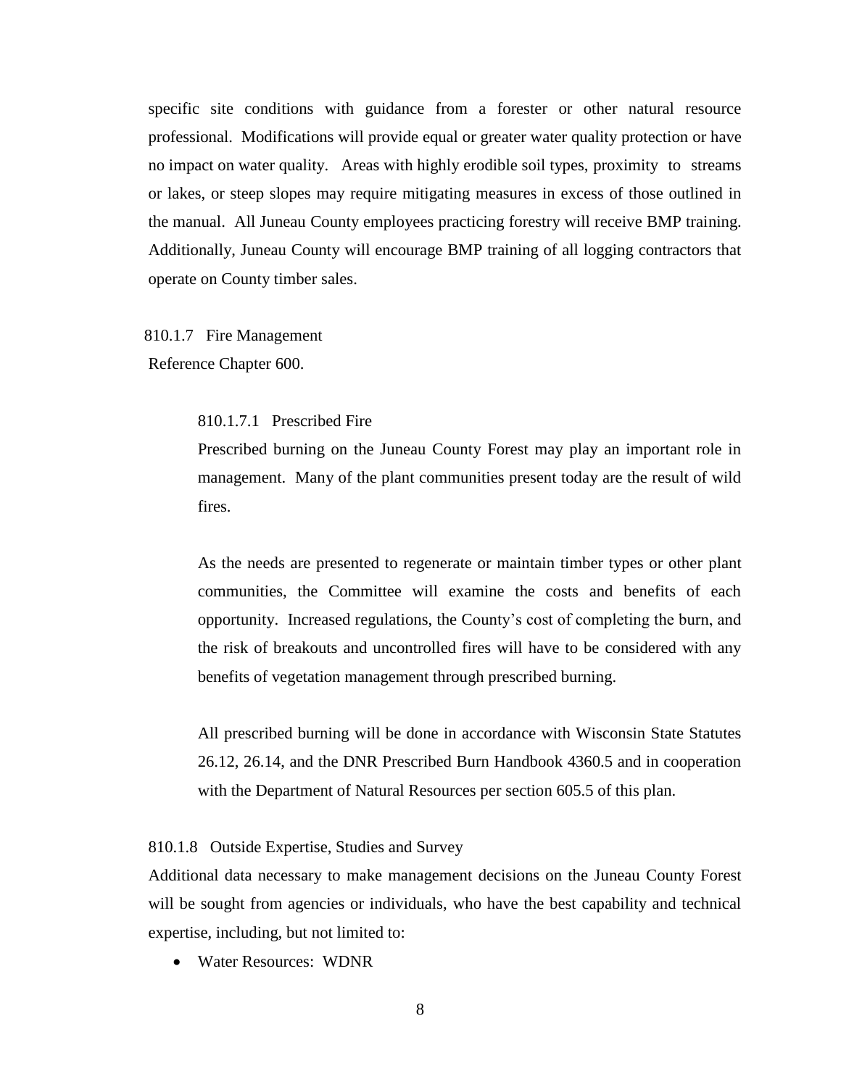specific site conditions with guidance from a forester or other natural resource professional. Modifications will provide equal or greater water quality protection or have no impact on water quality. Areas with highly erodible soil types, proximity to streams or lakes, or steep slopes may require mitigating measures in excess of those outlined in the manual. All Juneau County employees practicing forestry will receive BMP training. Additionally, Juneau County will encourage BMP training of all logging contractors that operate on County timber sales.

 810.1.7 Fire Management Reference Chapter 600.

810.1.7.1 Prescribed Fire

Prescribed burning on the Juneau County Forest may play an important role in management. Many of the plant communities present today are the result of wild fires.

As the needs are presented to regenerate or maintain timber types or other plant communities, the Committee will examine the costs and benefits of each opportunity. Increased regulations, the County's cost of completing the burn, and the risk of breakouts and uncontrolled fires will have to be considered with any benefits of vegetation management through prescribed burning.

All prescribed burning will be done in accordance with Wisconsin State Statutes 26.12, 26.14, and the DNR Prescribed Burn Handbook 4360.5 and in cooperation with the Department of Natural Resources per section 605.5 of this plan.

810.1.8 Outside Expertise, Studies and Survey

Additional data necessary to make management decisions on the Juneau County Forest will be sought from agencies or individuals, who have the best capability and technical expertise, including, but not limited to:

Water Resources: WDNR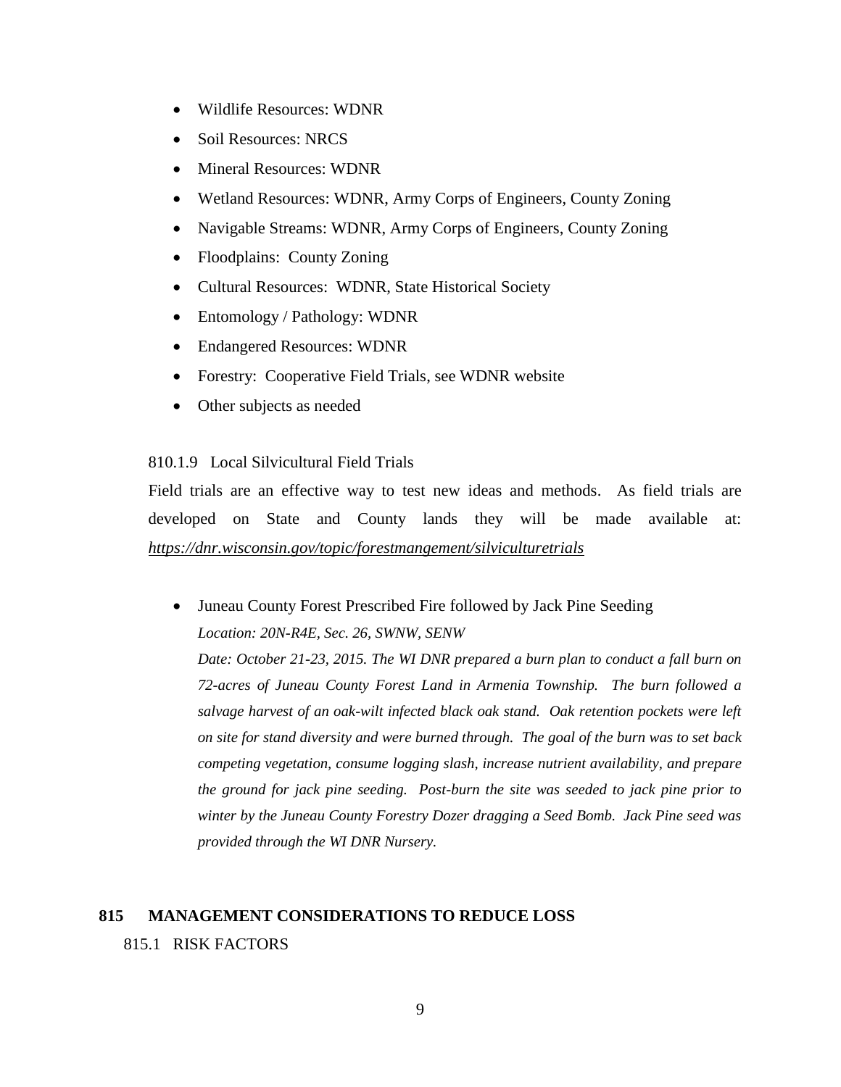- Wildlife Resources: WDNR
- Soil Resources: NRCS
- Mineral Resources: WDNR
- Wetland Resources: WDNR, Army Corps of Engineers, County Zoning
- Navigable Streams: WDNR, Army Corps of Engineers, County Zoning
- Floodplains: County Zoning
- Cultural Resources: WDNR, State Historical Society
- Entomology / Pathology: WDNR
- Endangered Resources: WDNR
- Forestry: Cooperative Field Trials, see WDNR website
- Other subjects as needed

# 810.1.9 Local Silvicultural Field Trials

Field trials are an effective way to test new ideas and methods. As field trials are developed on State and County lands they will be made available at: *https://dnr.wisconsin.gov/topic/forestmangement/silviculturetrials*

 Juneau County Forest Prescribed Fire followed by Jack Pine Seeding *Location: 20N-R4E, Sec. 26, SWNW, SENW* 

*Date: October 21-23, 2015. The WI DNR prepared a burn plan to conduct a fall burn on 72-acres of Juneau County Forest Land in Armenia Township. The burn followed a salvage harvest of an oak-wilt infected black oak stand. Oak retention pockets were left on site for stand diversity and were burned through. The goal of the burn was to set back competing vegetation, consume logging slash, increase nutrient availability, and prepare the ground for jack pine seeding. Post-burn the site was seeded to jack pine prior to winter by the Juneau County Forestry Dozer dragging a Seed Bomb. Jack Pine seed was provided through the WI DNR Nursery.* 

# **815 MANAGEMENT CONSIDERATIONS TO REDUCE LOSS**

815.1 RISK FACTORS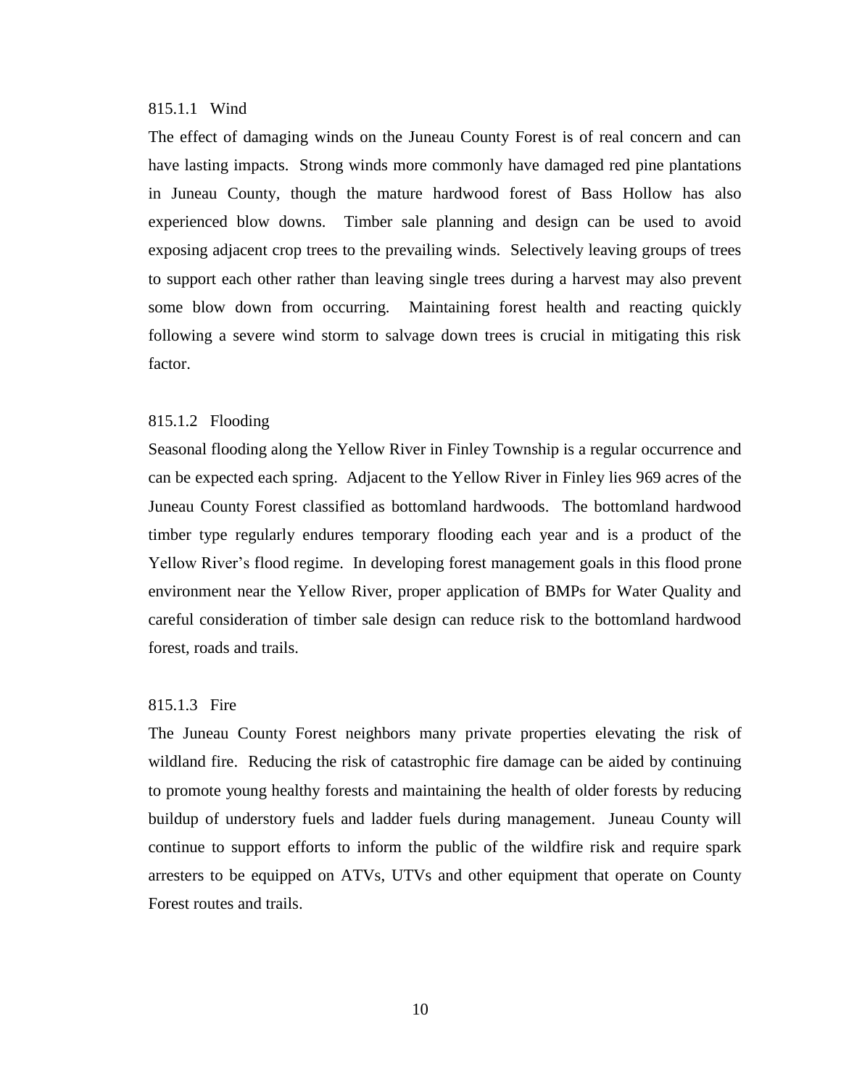# 815.1.1 Wind

The effect of damaging winds on the Juneau County Forest is of real concern and can have lasting impacts. Strong winds more commonly have damaged red pine plantations in Juneau County, though the mature hardwood forest of Bass Hollow has also experienced blow downs. Timber sale planning and design can be used to avoid exposing adjacent crop trees to the prevailing winds. Selectively leaving groups of trees to support each other rather than leaving single trees during a harvest may also prevent some blow down from occurring. Maintaining forest health and reacting quickly following a severe wind storm to salvage down trees is crucial in mitigating this risk factor.

#### 815.1.2 Flooding

Seasonal flooding along the Yellow River in Finley Township is a regular occurrence and can be expected each spring. Adjacent to the Yellow River in Finley lies 969 acres of the Juneau County Forest classified as bottomland hardwoods. The bottomland hardwood timber type regularly endures temporary flooding each year and is a product of the Yellow River's flood regime. In developing forest management goals in this flood prone environment near the Yellow River, proper application of BMPs for Water Quality and careful consideration of timber sale design can reduce risk to the bottomland hardwood forest, roads and trails.

# 815.1.3 Fire

The Juneau County Forest neighbors many private properties elevating the risk of wildland fire. Reducing the risk of catastrophic fire damage can be aided by continuing to promote young healthy forests and maintaining the health of older forests by reducing buildup of understory fuels and ladder fuels during management. Juneau County will continue to support efforts to inform the public of the wildfire risk and require spark arresters to be equipped on ATVs, UTVs and other equipment that operate on County Forest routes and trails.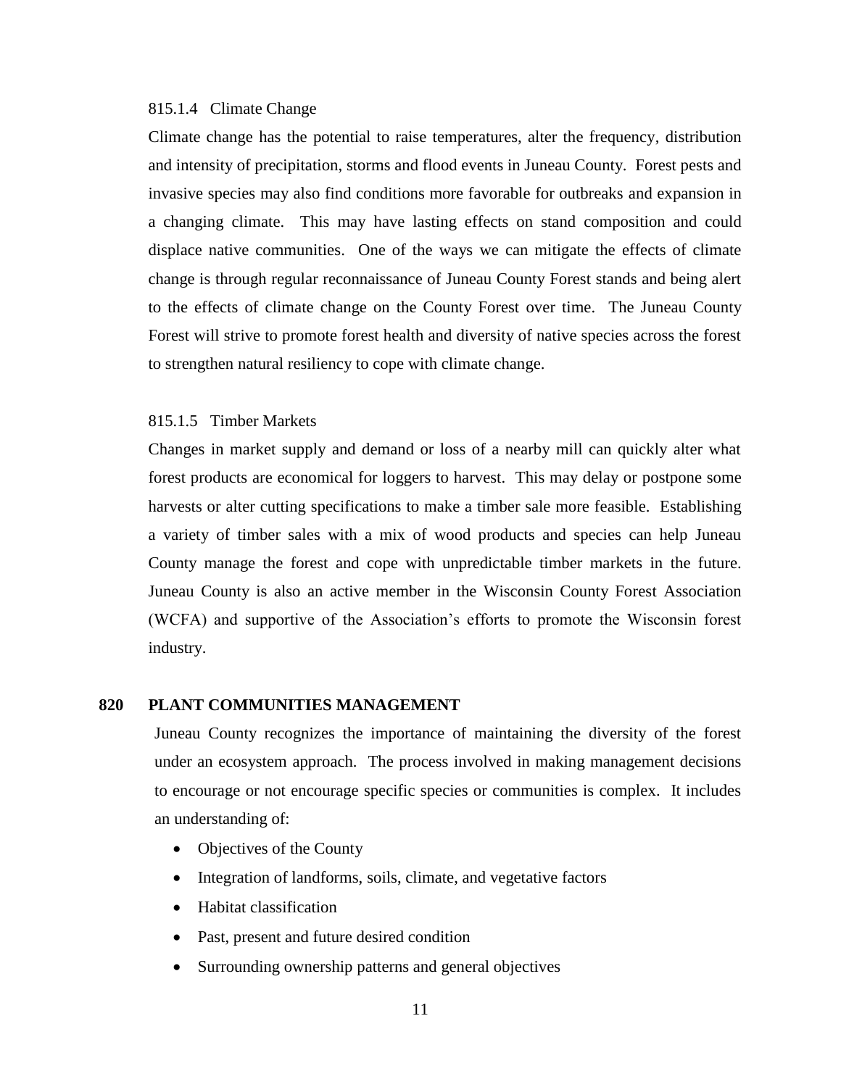#### 815.1.4 Climate Change

Climate change has the potential to raise temperatures, alter the frequency, distribution and intensity of precipitation, storms and flood events in Juneau County. Forest pests and invasive species may also find conditions more favorable for outbreaks and expansion in a changing climate. This may have lasting effects on stand composition and could displace native communities. One of the ways we can mitigate the effects of climate change is through regular reconnaissance of Juneau County Forest stands and being alert to the effects of climate change on the County Forest over time. The Juneau County Forest will strive to promote forest health and diversity of native species across the forest to strengthen natural resiliency to cope with climate change.

#### 815.1.5 Timber Markets

Changes in market supply and demand or loss of a nearby mill can quickly alter what forest products are economical for loggers to harvest. This may delay or postpone some harvests or alter cutting specifications to make a timber sale more feasible. Establishing a variety of timber sales with a mix of wood products and species can help Juneau County manage the forest and cope with unpredictable timber markets in the future. Juneau County is also an active member in the Wisconsin County Forest Association (WCFA) and supportive of the Association's efforts to promote the Wisconsin forest industry.

# **820 PLANT COMMUNITIES MANAGEMENT**

Juneau County recognizes the importance of maintaining the diversity of the forest under an ecosystem approach. The process involved in making management decisions to encourage or not encourage specific species or communities is complex. It includes an understanding of:

- Objectives of the County
- Integration of landforms, soils, climate, and vegetative factors
- Habitat classification
- Past, present and future desired condition
- Surrounding ownership patterns and general objectives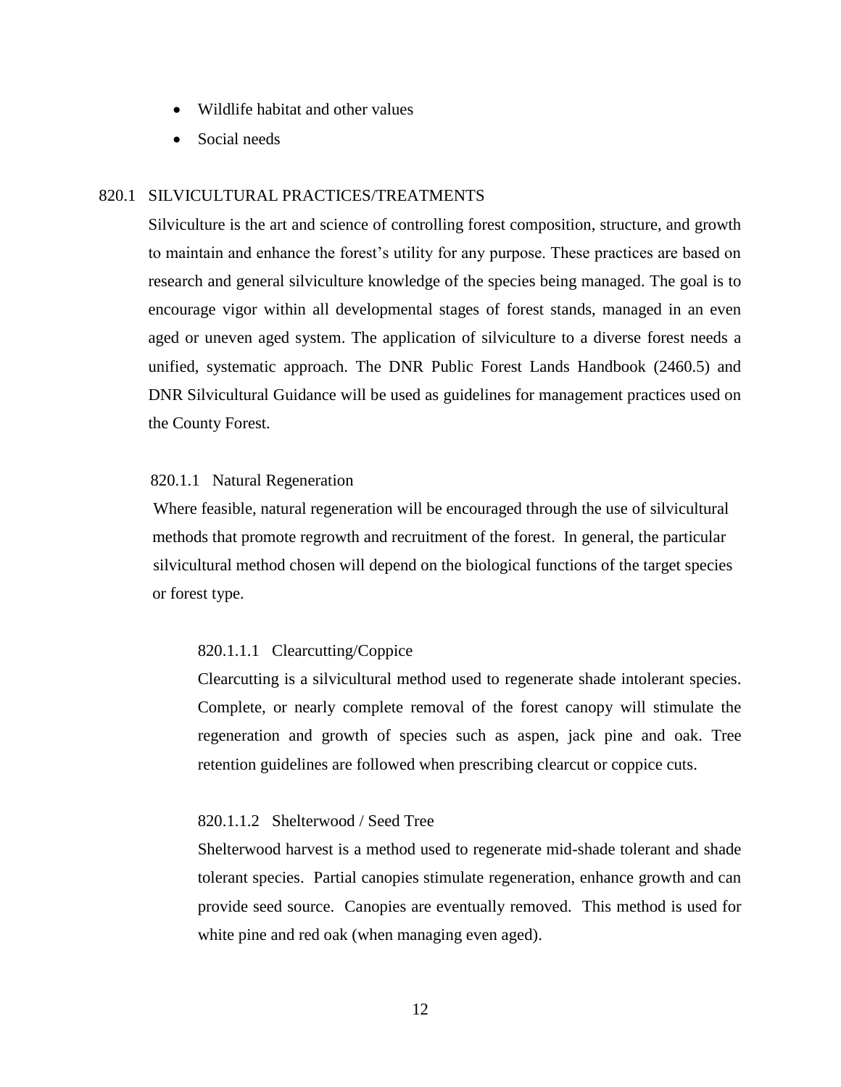- Wildlife habitat and other values
- Social needs

# 820.1 SILVICULTURAL PRACTICES/TREATMENTS

Silviculture is the art and science of controlling forest composition, structure, and growth to maintain and enhance the forest's utility for any purpose. These practices are based on research and general silviculture knowledge of the species being managed. The goal is to encourage vigor within all developmental stages of forest stands, managed in an even aged or uneven aged system. The application of silviculture to a diverse forest needs a unified, systematic approach. The DNR Public Forest Lands Handbook (2460.5) and DNR Silvicultural Guidance will be used as guidelines for management practices used on the County Forest.

#### 820.1.1 Natural Regeneration

 Where feasible, natural regeneration will be encouraged through the use of silvicultural methods that promote regrowth and recruitment of the forest. In general, the particular silvicultural method chosen will depend on the biological functions of the target species or forest type.

# 820.1.1.1 Clearcutting/Coppice

Clearcutting is a silvicultural method used to regenerate shade intolerant species. Complete, or nearly complete removal of the forest canopy will stimulate the regeneration and growth of species such as aspen, jack pine and oak. Tree retention guidelines are followed when prescribing clearcut or coppice cuts.

### 820.1.1.2 Shelterwood / Seed Tree

Shelterwood harvest is a method used to regenerate mid-shade tolerant and shade tolerant species. Partial canopies stimulate regeneration, enhance growth and can provide seed source. Canopies are eventually removed. This method is used for white pine and red oak (when managing even aged).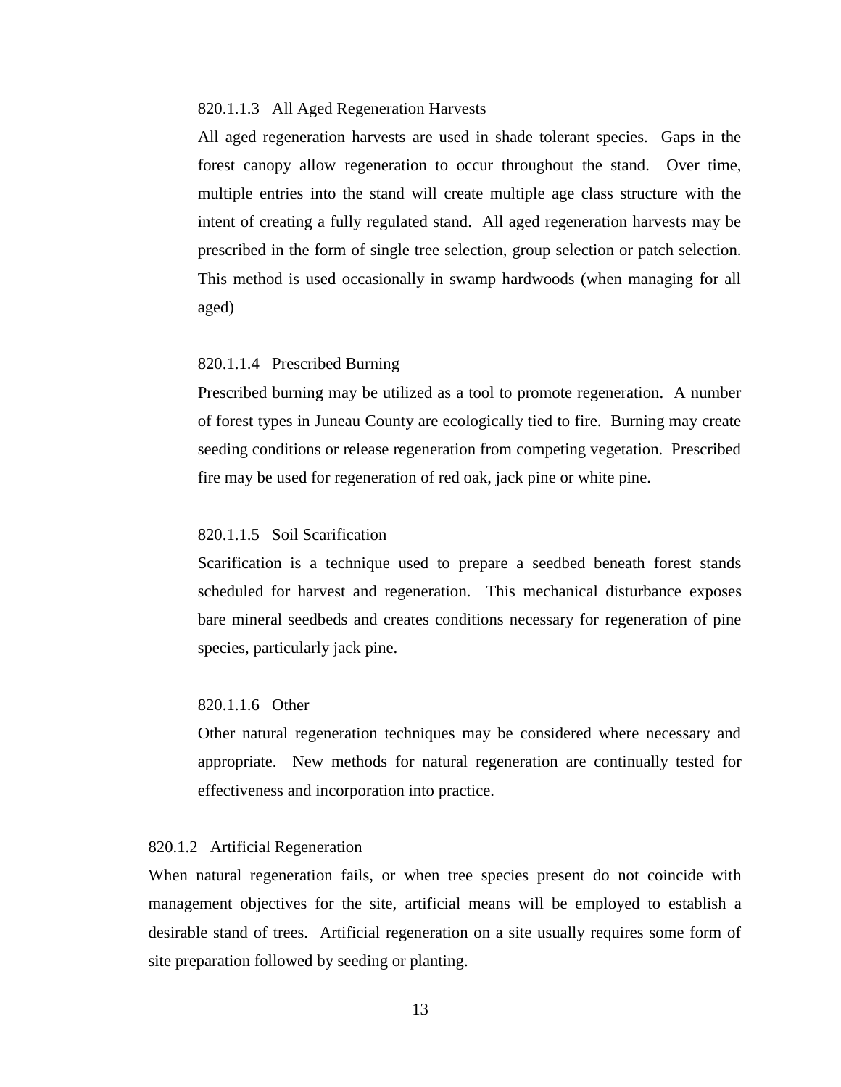#### 820.1.1.3 All Aged Regeneration Harvests

All aged regeneration harvests are used in shade tolerant species. Gaps in the forest canopy allow regeneration to occur throughout the stand. Over time, multiple entries into the stand will create multiple age class structure with the intent of creating a fully regulated stand. All aged regeneration harvests may be prescribed in the form of single tree selection, group selection or patch selection. This method is used occasionally in swamp hardwoods (when managing for all aged)

#### 820.1.1.4 Prescribed Burning

Prescribed burning may be utilized as a tool to promote regeneration. A number of forest types in Juneau County are ecologically tied to fire. Burning may create seeding conditions or release regeneration from competing vegetation. Prescribed fire may be used for regeneration of red oak, jack pine or white pine.

# 820.1.1.5 Soil Scarification

Scarification is a technique used to prepare a seedbed beneath forest stands scheduled for harvest and regeneration. This mechanical disturbance exposes bare mineral seedbeds and creates conditions necessary for regeneration of pine species, particularly jack pine.

# 820.1.1.6 Other

Other natural regeneration techniques may be considered where necessary and appropriate. New methods for natural regeneration are continually tested for effectiveness and incorporation into practice.

#### 820.1.2 Artificial Regeneration

 When natural regeneration fails, or when tree species present do not coincide with management objectives for the site, artificial means will be employed to establish a desirable stand of trees. Artificial regeneration on a site usually requires some form of site preparation followed by seeding or planting.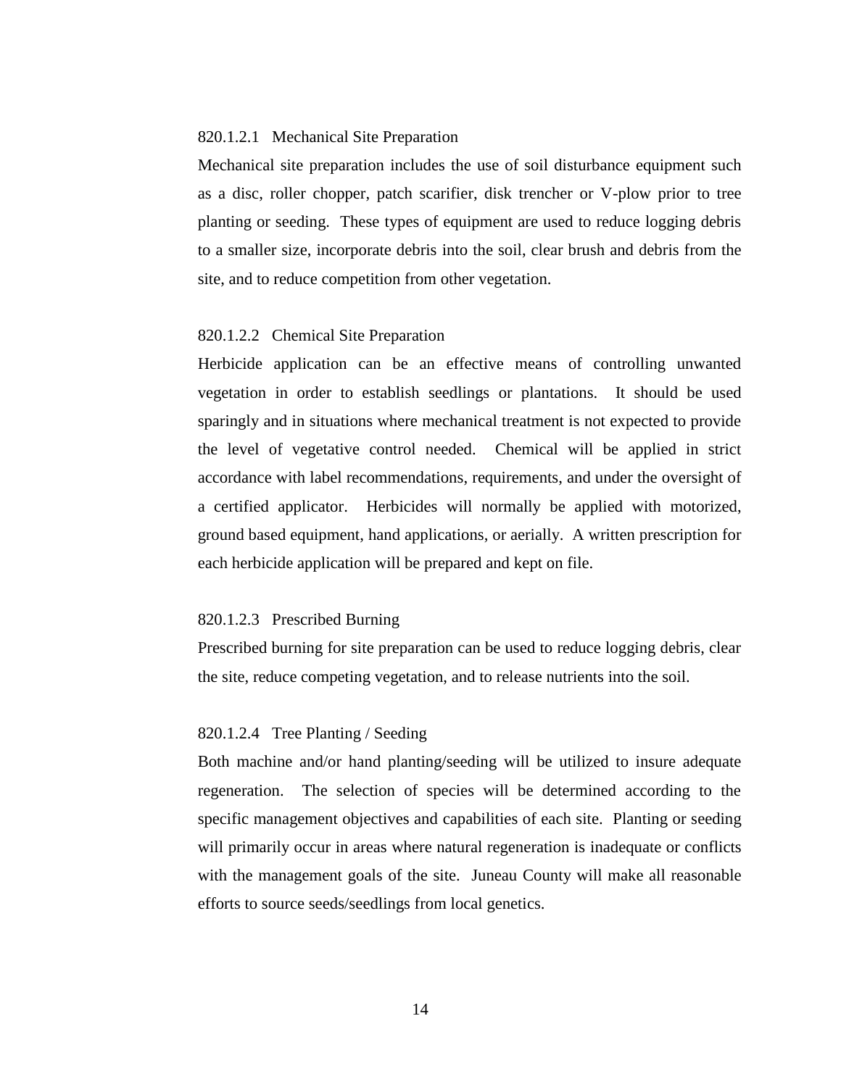#### 820.1.2.1 Mechanical Site Preparation

Mechanical site preparation includes the use of soil disturbance equipment such as a disc, roller chopper, patch scarifier, disk trencher or V-plow prior to tree planting or seeding. These types of equipment are used to reduce logging debris to a smaller size, incorporate debris into the soil, clear brush and debris from the site, and to reduce competition from other vegetation.

#### 820.1.2.2 Chemical Site Preparation

Herbicide application can be an effective means of controlling unwanted vegetation in order to establish seedlings or plantations. It should be used sparingly and in situations where mechanical treatment is not expected to provide the level of vegetative control needed. Chemical will be applied in strict accordance with label recommendations, requirements, and under the oversight of a certified applicator. Herbicides will normally be applied with motorized, ground based equipment, hand applications, or aerially. A written prescription for each herbicide application will be prepared and kept on file.

#### 820.1.2.3 Prescribed Burning

Prescribed burning for site preparation can be used to reduce logging debris, clear the site, reduce competing vegetation, and to release nutrients into the soil.

#### 820.1.2.4 Tree Planting / Seeding

Both machine and/or hand planting/seeding will be utilized to insure adequate regeneration. The selection of species will be determined according to the specific management objectives and capabilities of each site. Planting or seeding will primarily occur in areas where natural regeneration is inadequate or conflicts with the management goals of the site. Juneau County will make all reasonable efforts to source seeds/seedlings from local genetics.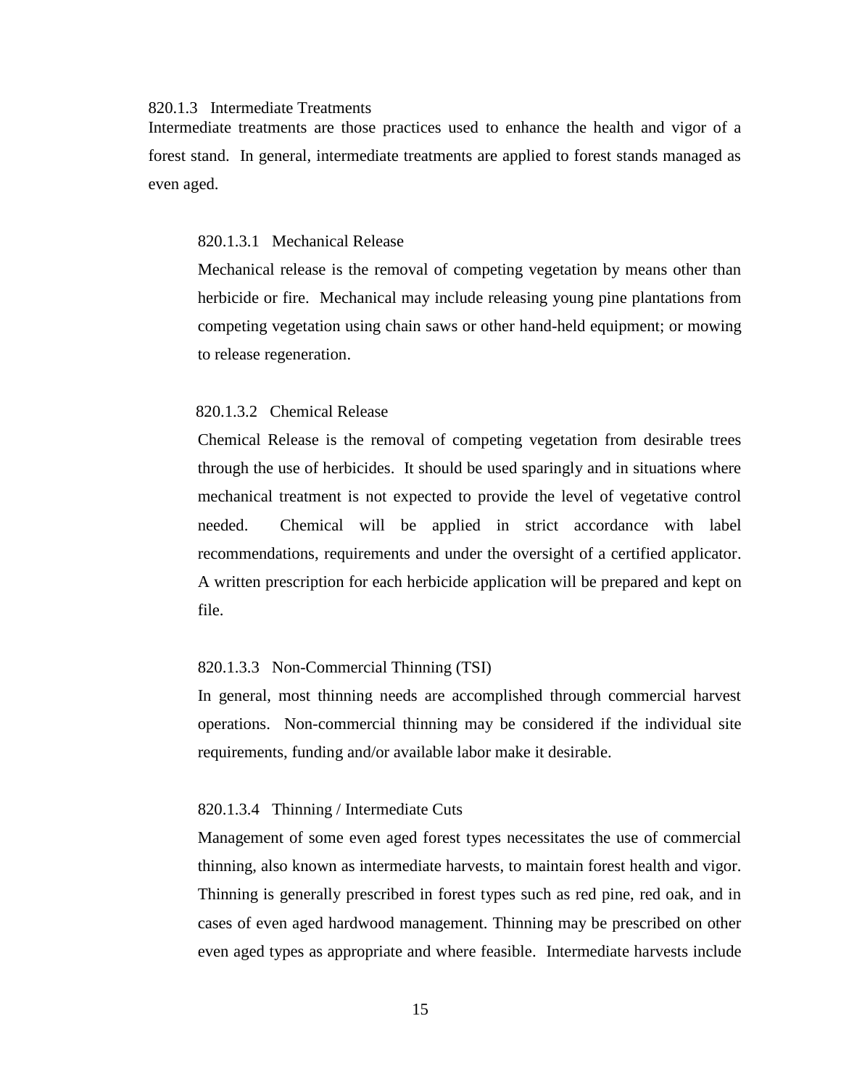# 820.1.3 Intermediate Treatments

Intermediate treatments are those practices used to enhance the health and vigor of a forest stand. In general, intermediate treatments are applied to forest stands managed as even aged.

## 820.1.3.1 Mechanical Release

Mechanical release is the removal of competing vegetation by means other than herbicide or fire. Mechanical may include releasing young pine plantations from competing vegetation using chain saws or other hand-held equipment; or mowing to release regeneration.

#### 820.1.3.2 Chemical Release

Chemical Release is the removal of competing vegetation from desirable trees through the use of herbicides. It should be used sparingly and in situations where mechanical treatment is not expected to provide the level of vegetative control needed. Chemical will be applied in strict accordance with label recommendations, requirements and under the oversight of a certified applicator. A written prescription for each herbicide application will be prepared and kept on file.

#### 820.1.3.3 Non-Commercial Thinning (TSI)

In general, most thinning needs are accomplished through commercial harvest operations. Non-commercial thinning may be considered if the individual site requirements, funding and/or available labor make it desirable.

#### 820.1.3.4 Thinning / Intermediate Cuts

Management of some even aged forest types necessitates the use of commercial thinning, also known as intermediate harvests, to maintain forest health and vigor. Thinning is generally prescribed in forest types such as red pine, red oak, and in cases of even aged hardwood management. Thinning may be prescribed on other even aged types as appropriate and where feasible. Intermediate harvests include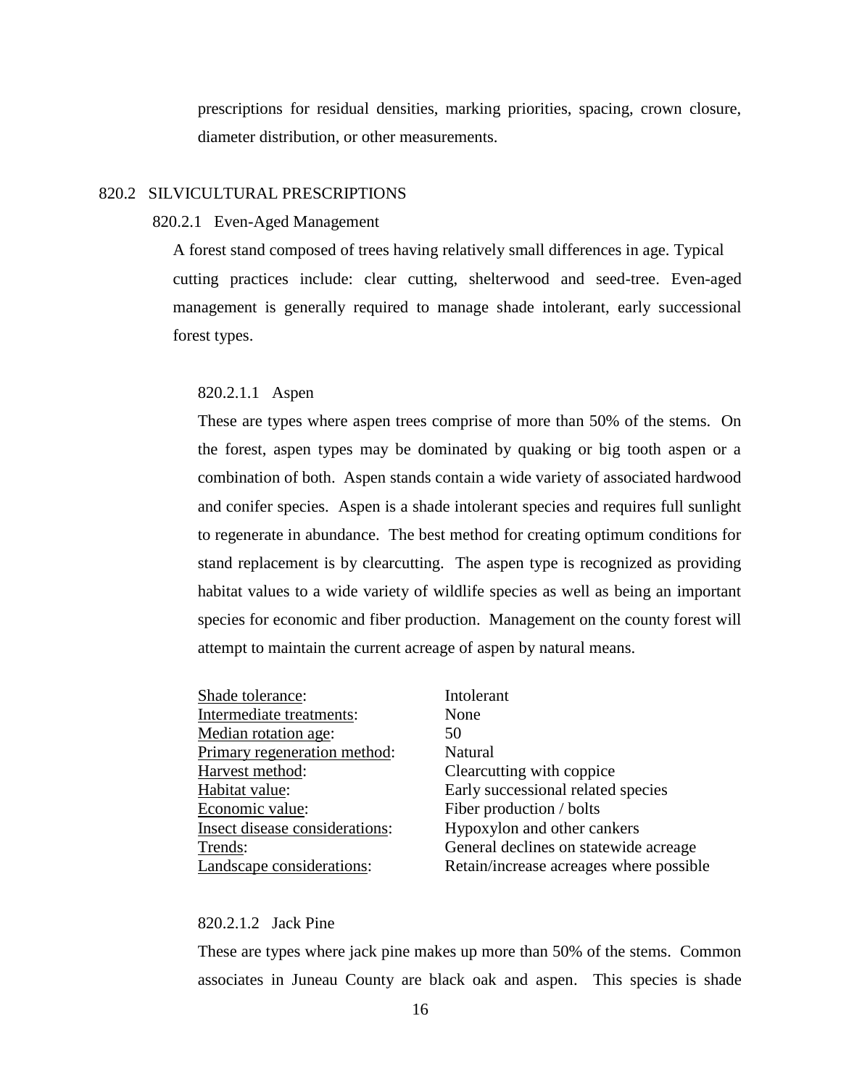prescriptions for residual densities, marking priorities, spacing, crown closure, diameter distribution, or other measurements.

#### 820.2 SILVICULTURAL PRESCRIPTIONS

#### 820.2.1 Even-Aged Management

 A forest stand composed of trees having relatively small differences in age. Typical cutting practices include: clear cutting, shelterwood and seed-tree. Even-aged management is generally required to manage shade intolerant, early successional forest types.

# 820.2.1.1 Aspen

 These are types where aspen trees comprise of more than 50% of the stems. On the forest, aspen types may be dominated by quaking or big tooth aspen or a combination of both. Aspen stands contain a wide variety of associated hardwood and conifer species. Aspen is a shade intolerant species and requires full sunlight to regenerate in abundance. The best method for creating optimum conditions for stand replacement is by clearcutting. The aspen type is recognized as providing habitat values to a wide variety of wildlife species as well as being an important species for economic and fiber production. Management on the county forest will attempt to maintain the current acreage of aspen by natural means.

| Shade tolerance:               | Intolerant                              |
|--------------------------------|-----------------------------------------|
| Intermediate treatments:       | None                                    |
| Median rotation age:           | 50                                      |
| Primary regeneration method:   | Natural                                 |
| Harvest method:                | Clearcutting with coppice               |
| Habitat value:                 | Early successional related species      |
| Economic value:                | Fiber production / bolts                |
| Insect disease considerations: | Hypoxylon and other cankers             |
| Trends:                        | General declines on statewide acreage   |
| Landscape considerations:      | Retain/increase acreages where possible |

# 820.2.1.2 Jack Pine

These are types where jack pine makes up more than 50% of the stems. Common associates in Juneau County are black oak and aspen. This species is shade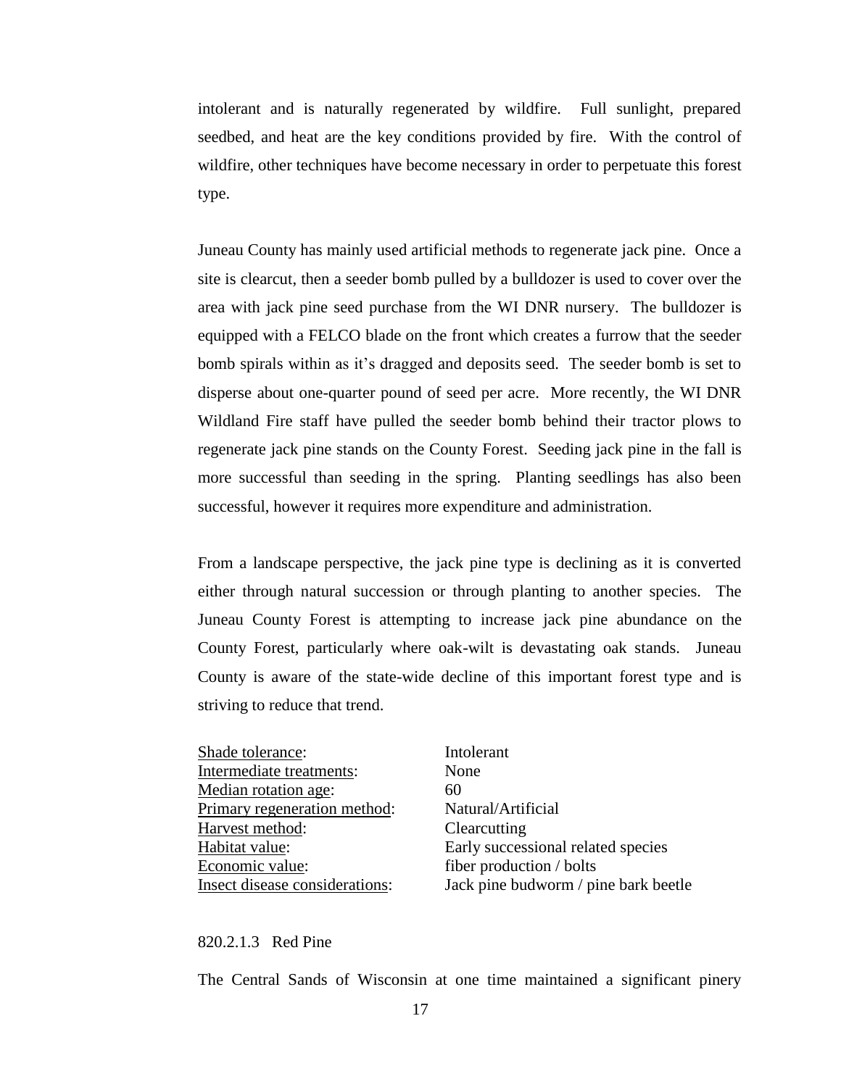intolerant and is naturally regenerated by wildfire. Full sunlight, prepared seedbed, and heat are the key conditions provided by fire. With the control of wildfire, other techniques have become necessary in order to perpetuate this forest type.

Juneau County has mainly used artificial methods to regenerate jack pine. Once a site is clearcut, then a seeder bomb pulled by a bulldozer is used to cover over the area with jack pine seed purchase from the WI DNR nursery. The bulldozer is equipped with a FELCO blade on the front which creates a furrow that the seeder bomb spirals within as it's dragged and deposits seed. The seeder bomb is set to disperse about one-quarter pound of seed per acre. More recently, the WI DNR Wildland Fire staff have pulled the seeder bomb behind their tractor plows to regenerate jack pine stands on the County Forest. Seeding jack pine in the fall is more successful than seeding in the spring. Planting seedlings has also been successful, however it requires more expenditure and administration.

From a landscape perspective, the jack pine type is declining as it is converted either through natural succession or through planting to another species. The Juneau County Forest is attempting to increase jack pine abundance on the County Forest, particularly where oak-wilt is devastating oak stands. Juneau County is aware of the state-wide decline of this important forest type and is striving to reduce that trend.

| Shade tolerance:               | Intolerant                           |
|--------------------------------|--------------------------------------|
| Intermediate treatments:       | None                                 |
| Median rotation age:           | 60                                   |
| Primary regeneration method:   | Natural/Artificial                   |
| Harvest method:                | Clearcutting                         |
| Habitat value:                 | Early successional related species   |
| Economic value:                | fiber production / bolts             |
| Insect disease considerations: | Jack pine budworm / pine bark beetle |
|                                |                                      |

#### 820.2.1.3 Red Pine

The Central Sands of Wisconsin at one time maintained a significant pinery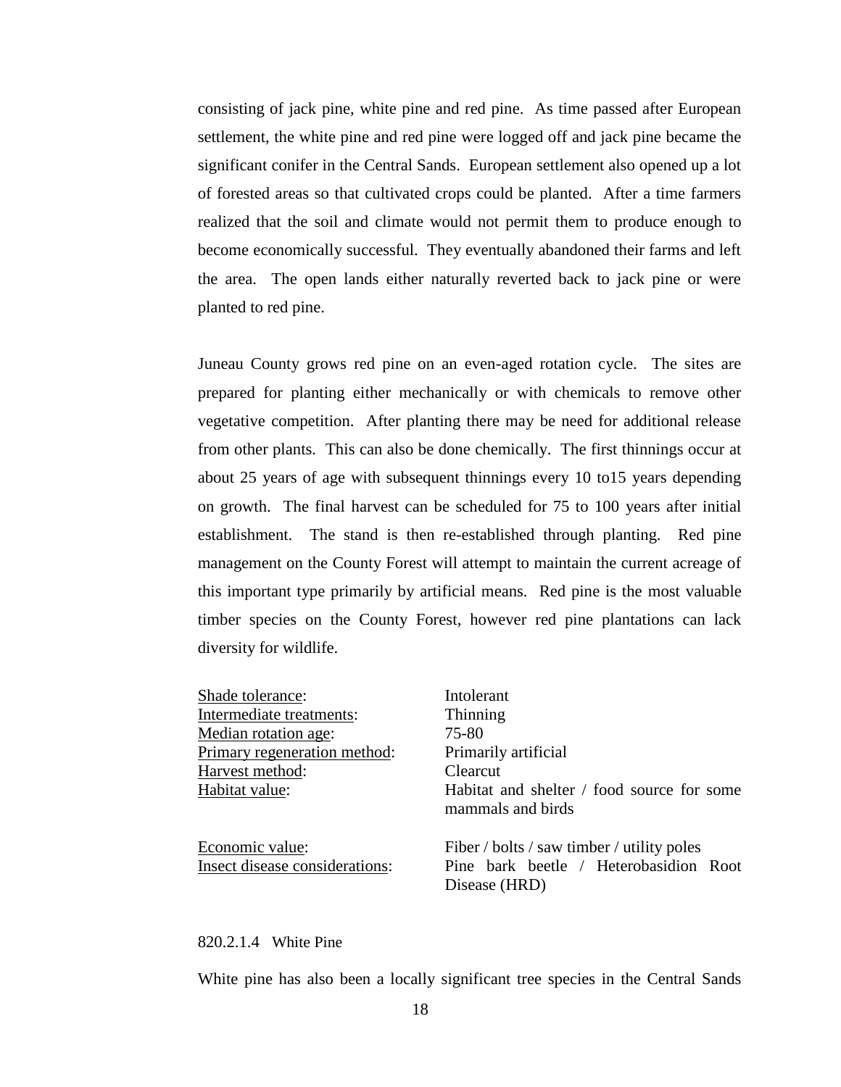consisting of jack pine, white pine and red pine. As time passed after European settlement, the white pine and red pine were logged off and jack pine became the significant conifer in the Central Sands. European settlement also opened up a lot of forested areas so that cultivated crops could be planted. After a time farmers realized that the soil and climate would not permit them to produce enough to become economically successful. They eventually abandoned their farms and left the area. The open lands either naturally reverted back to jack pine or were planted to red pine.

Juneau County grows red pine on an even-aged rotation cycle. The sites are prepared for planting either mechanically or with chemicals to remove other vegetative competition. After planting there may be need for additional release from other plants. This can also be done chemically. The first thinnings occur at about 25 years of age with subsequent thinnings every 10 to15 years depending on growth. The final harvest can be scheduled for 75 to 100 years after initial establishment. The stand is then re-established through planting. Red pine management on the County Forest will attempt to maintain the current acreage of this important type primarily by artificial means. Red pine is the most valuable timber species on the County Forest, however red pine plantations can lack diversity for wildlife.

| Shade tolerance:               | Intolerant                                                      |
|--------------------------------|-----------------------------------------------------------------|
| Intermediate treatments:       | Thinning                                                        |
| Median rotation age:           | 75-80                                                           |
| Primary regeneration method:   | Primarily artificial                                            |
| Harvest method:                | Clearcut                                                        |
| Habitat value:                 | Habitat and shelter / food source for some<br>mammals and birds |
| Economic value:                | Fiber / bolts / saw timber / utility poles                      |
| Insect disease considerations: | Pine bark beetle / Heterobasidion Root                          |
|                                | Disease (HRD)                                                   |

#### 820.2.1.4 White Pine

White pine has also been a locally significant tree species in the Central Sands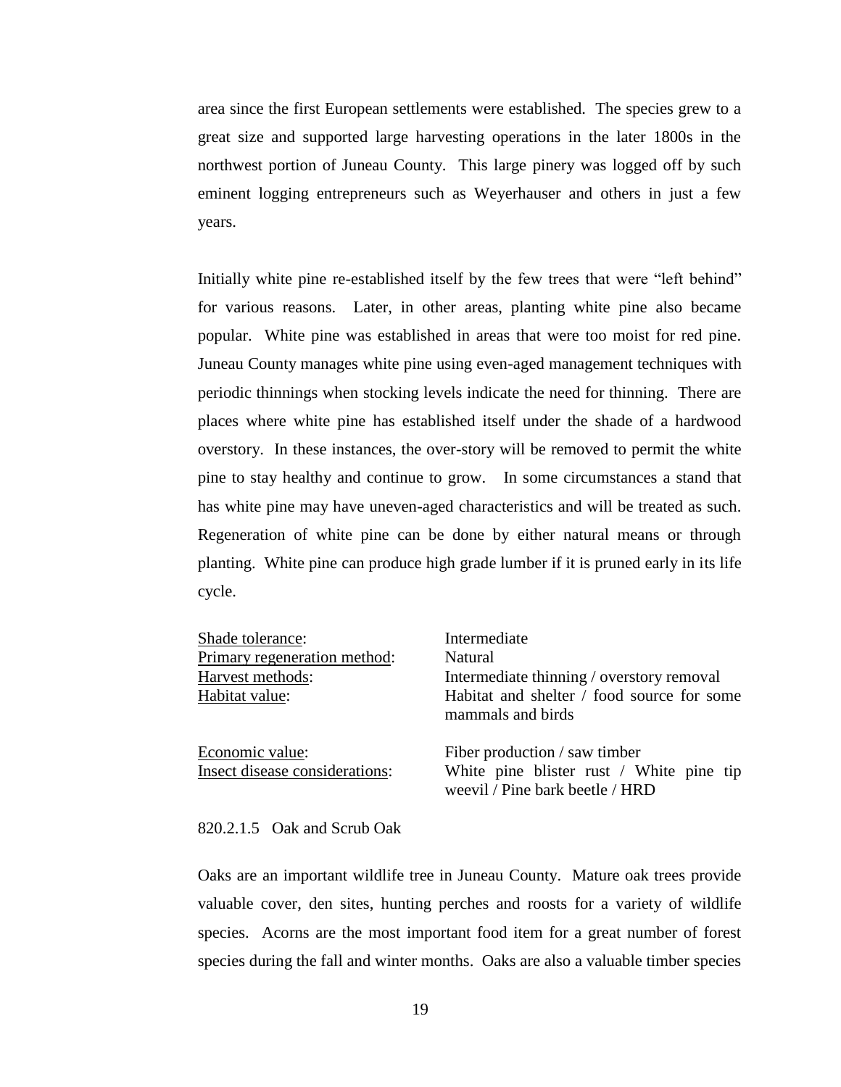area since the first European settlements were established. The species grew to a great size and supported large harvesting operations in the later 1800s in the northwest portion of Juneau County. This large pinery was logged off by such eminent logging entrepreneurs such as Weyerhauser and others in just a few years.

Initially white pine re-established itself by the few trees that were "left behind" for various reasons. Later, in other areas, planting white pine also became popular. White pine was established in areas that were too moist for red pine. Juneau County manages white pine using even-aged management techniques with periodic thinnings when stocking levels indicate the need for thinning. There are places where white pine has established itself under the shade of a hardwood overstory. In these instances, the over-story will be removed to permit the white pine to stay healthy and continue to grow. In some circumstances a stand that has white pine may have uneven-aged characteristics and will be treated as such. Regeneration of white pine can be done by either natural means or through planting. White pine can produce high grade lumber if it is pruned early in its life cycle.

| Shade tolerance:                                  | Intermediate                                                                                                 |
|---------------------------------------------------|--------------------------------------------------------------------------------------------------------------|
| Primary regeneration method:                      | Natural                                                                                                      |
| Harvest methods:                                  | Intermediate thinning / overstory removal                                                                    |
| Habitat value:                                    | Habitat and shelter / food source for some<br>mammals and birds                                              |
| Economic value:<br>Insect disease considerations: | Fiber production / saw timber<br>White pine blister rust / White pine tip<br>weevil / Pine bark beetle / HRD |

#### 820.2.1.5 Oak and Scrub Oak

Oaks are an important wildlife tree in Juneau County. Mature oak trees provide valuable cover, den sites, hunting perches and roosts for a variety of wildlife species. Acorns are the most important food item for a great number of forest species during the fall and winter months. Oaks are also a valuable timber species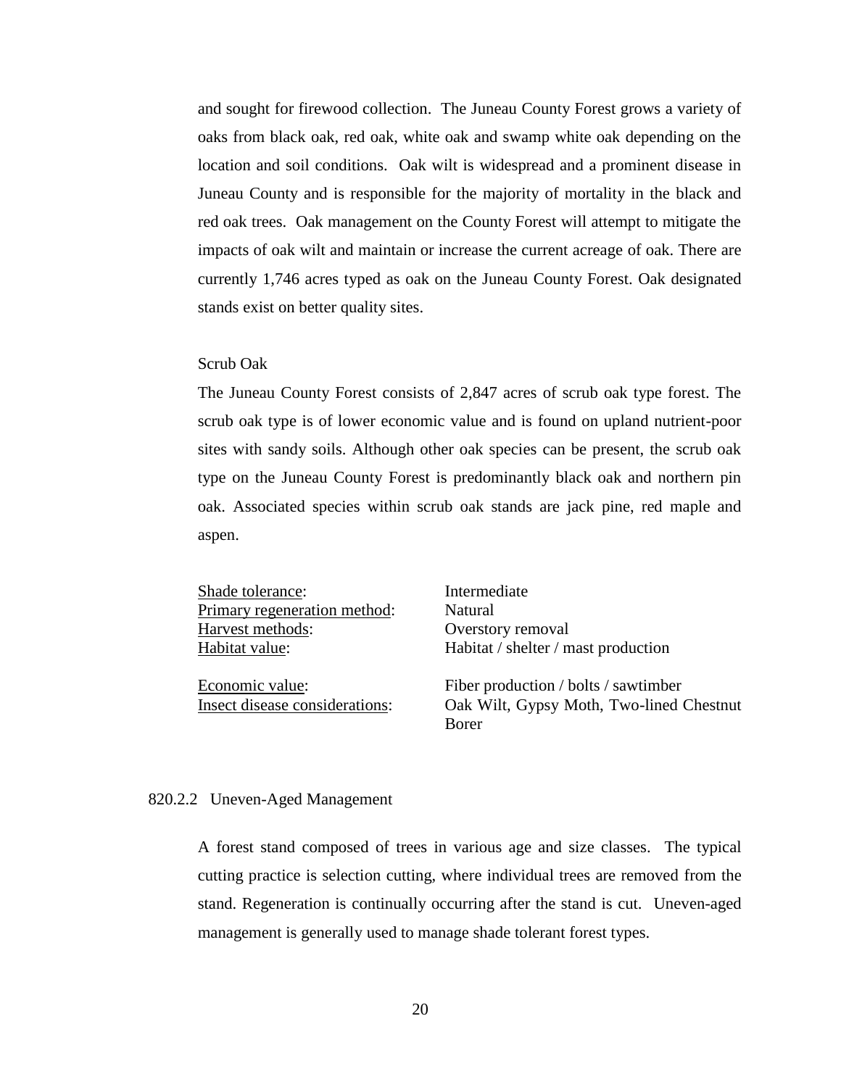and sought for firewood collection. The Juneau County Forest grows a variety of oaks from black oak, red oak, white oak and swamp white oak depending on the location and soil conditions. Oak wilt is widespread and a prominent disease in Juneau County and is responsible for the majority of mortality in the black and red oak trees. Oak management on the County Forest will attempt to mitigate the impacts of oak wilt and maintain or increase the current acreage of oak. There are currently 1,746 acres typed as oak on the Juneau County Forest. Oak designated stands exist on better quality sites.

#### Scrub Oak

The Juneau County Forest consists of 2,847 acres of scrub oak type forest. The scrub oak type is of lower economic value and is found on upland nutrient-poor sites with sandy soils. Although other oak species can be present, the scrub oak type on the Juneau County Forest is predominantly black oak and northern pin oak. Associated species within scrub oak stands are jack pine, red maple and aspen.

Shade tolerance: Intermediate Primary regeneration method: Natural Harvest methods: Overstory removal

Habitat value: Habitat / shelter / mast production

Economic value: Fiber production / bolts / sawtimber Insect disease considerations: Oak Wilt, Gypsy Moth, Two-lined Chestnut Borer

#### 820.2.2 Uneven-Aged Management

A forest stand composed of trees in various age and size classes. The typical cutting practice is selection cutting, where individual trees are removed from the stand. Regeneration is continually occurring after the stand is cut. Uneven-aged management is generally used to manage shade tolerant forest types.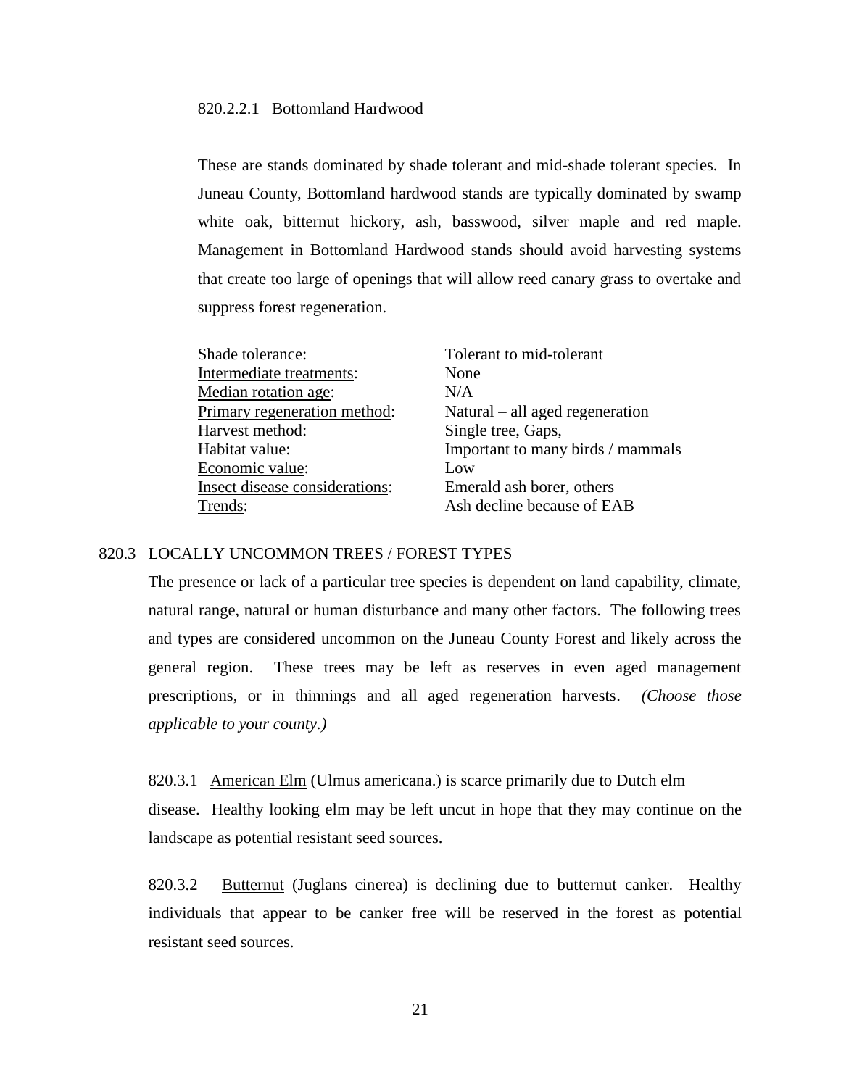# 820.2.2.1 Bottomland Hardwood

These are stands dominated by shade tolerant and mid-shade tolerant species. In Juneau County, Bottomland hardwood stands are typically dominated by swamp white oak, bitternut hickory, ash, basswood, silver maple and red maple. Management in Bottomland Hardwood stands should avoid harvesting systems that create too large of openings that will allow reed canary grass to overtake and suppress forest regeneration.

| Shade tolerance:               | Tolerant to mid-tolerant          |
|--------------------------------|-----------------------------------|
| Intermediate treatments:       | None                              |
| Median rotation age:           | N/A                               |
| Primary regeneration method:   | Natural $-$ all aged regeneration |
| Harvest method:                | Single tree, Gaps,                |
| Habitat value:                 | Important to many birds / mammals |
| Economic value:                | Low                               |
| Insect disease considerations: | Emerald ash borer, others         |
| Trends:                        | Ash decline because of EAB        |

# 820.3 LOCALLY UNCOMMON TREES / FOREST TYPES

The presence or lack of a particular tree species is dependent on land capability, climate, natural range, natural or human disturbance and many other factors. The following trees and types are considered uncommon on the Juneau County Forest and likely across the general region. These trees may be left as reserves in even aged management prescriptions, or in thinnings and all aged regeneration harvests. *(Choose those applicable to your county.)*

820.3.1 American Elm (Ulmus americana.) is scarce primarily due to Dutch elm disease. Healthy looking elm may be left uncut in hope that they may continue on the landscape as potential resistant seed sources.

820.3.2 Butternut (Juglans cinerea) is declining due to butternut canker. Healthy individuals that appear to be canker free will be reserved in the forest as potential resistant seed sources.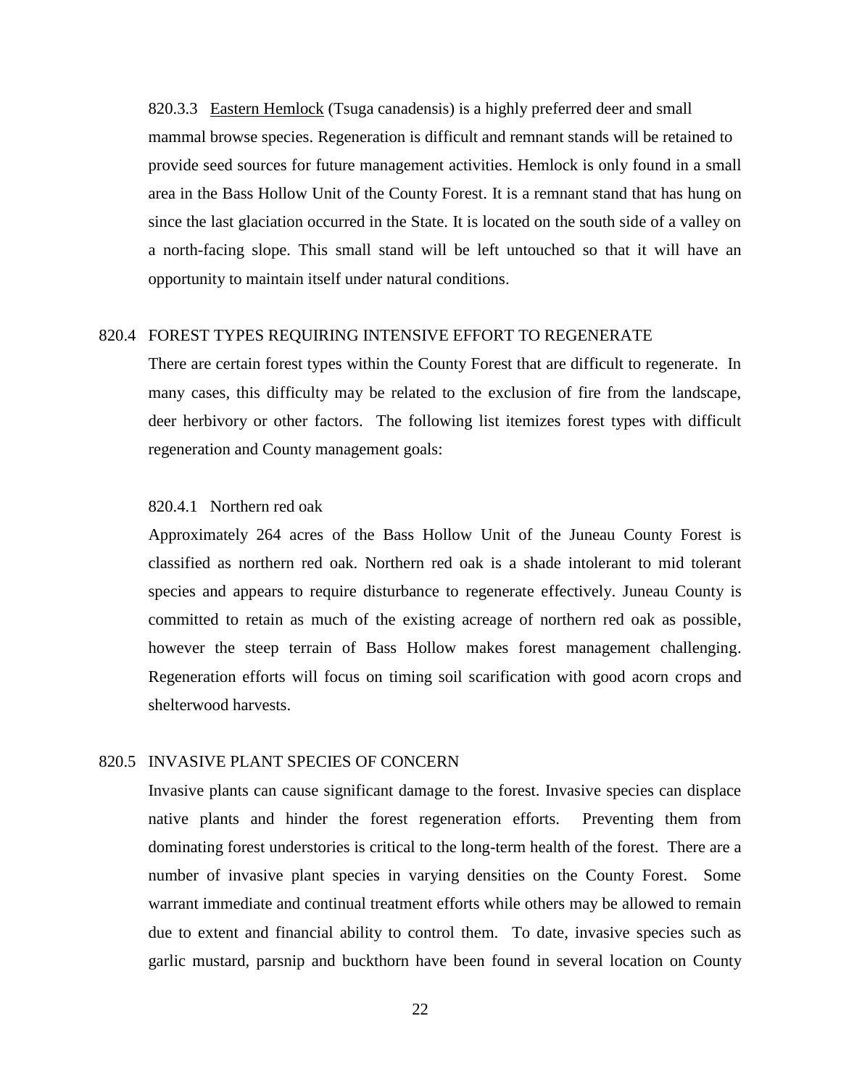820.3.3 Eastern Hemlock (Tsuga canadensis) is a highly preferred deer and small mammal browse species. Regeneration is difficult and remnant stands will be retained to provide seed sources for future management activities. Hemlock is only found in a small area in the Bass Hollow Unit of the County Forest. It is a remnant stand that has hung on since the last glaciation occurred in the State. It is located on the south side of a valley on a north-facing slope. This small stand will be left untouched so that it will have an opportunity to maintain itself under natural conditions.

## 820.4 FOREST TYPES REQUIRING INTENSIVE EFFORT TO REGENERATE

There are certain forest types within the County Forest that are difficult to regenerate. In many cases, this difficulty may be related to the exclusion of fire from the landscape, deer herbivory or other factors. The following list itemizes forest types with difficult regeneration and County management goals:

# 820.4.1 Northern red oak

Approximately 264 acres of the Bass Hollow Unit of the Juneau County Forest is classified as northern red oak. Northern red oak is a shade intolerant to mid tolerant species and appears to require disturbance to regenerate effectively. Juneau County is committed to retain as much of the existing acreage of northern red oak as possible, however the steep terrain of Bass Hollow makes forest management challenging. Regeneration efforts will focus on timing soil scarification with good acorn crops and shelterwood harvests.

# 820.5 INVASIVE PLANT SPECIES OF CONCERN

Invasive plants can cause significant damage to the forest. Invasive species can displace native plants and hinder the forest regeneration efforts. Preventing them from dominating forest understories is critical to the long-term health of the forest. There are a number of invasive plant species in varying densities on the County Forest. Some warrant immediate and continual treatment efforts while others may be allowed to remain due to extent and financial ability to control them. To date, invasive species such as garlic mustard, parsnip and buckthorn have been found in several location on County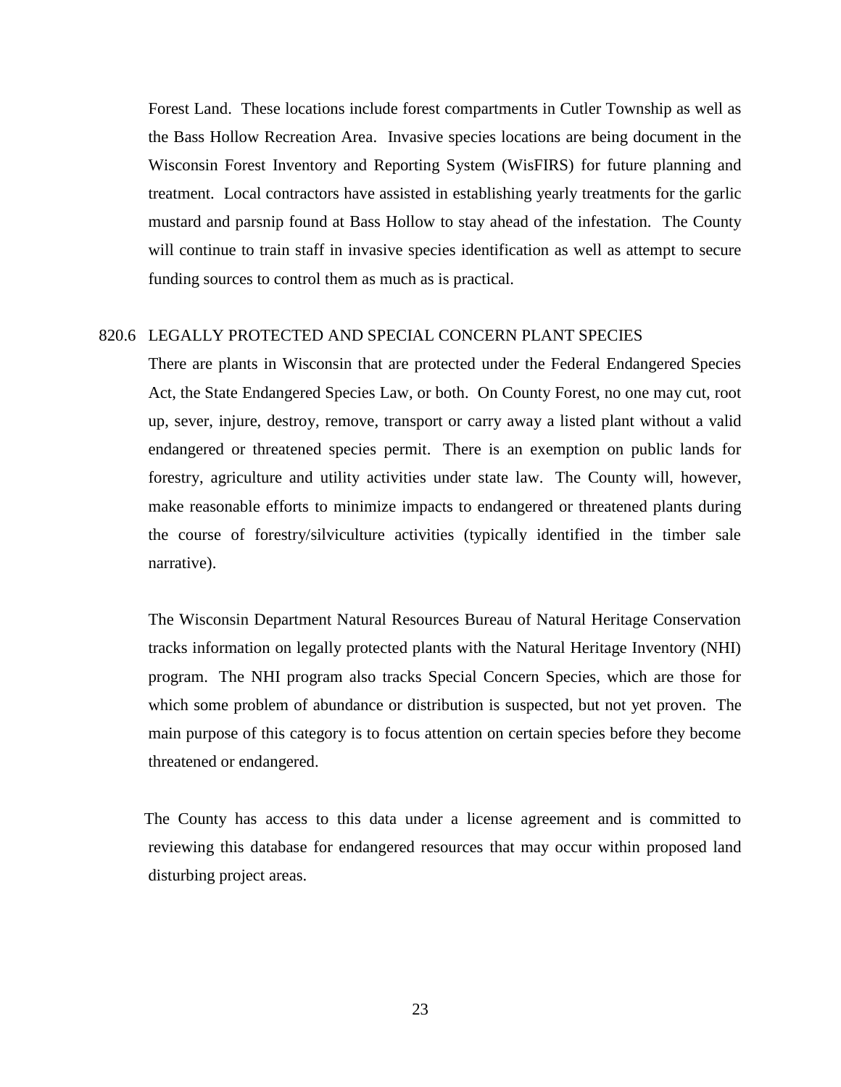Forest Land. These locations include forest compartments in Cutler Township as well as the Bass Hollow Recreation Area. Invasive species locations are being document in the Wisconsin Forest Inventory and Reporting System (WisFIRS) for future planning and treatment. Local contractors have assisted in establishing yearly treatments for the garlic mustard and parsnip found at Bass Hollow to stay ahead of the infestation. The County will continue to train staff in invasive species identification as well as attempt to secure funding sources to control them as much as is practical.

# 820.6 LEGALLY PROTECTED AND SPECIAL CONCERN PLANT SPECIES

There are plants in Wisconsin that are protected under the Federal Endangered Species Act, the State Endangered Species Law, or both. On County Forest, no one may cut, root up, sever, injure, destroy, remove, transport or carry away a listed plant without a valid endangered or threatened species permit. There is an exemption on public lands for forestry, agriculture and utility activities under state law. The County will, however, make reasonable efforts to minimize impacts to endangered or threatened plants during the course of forestry/silviculture activities (typically identified in the timber sale narrative).

 The Wisconsin Department Natural Resources Bureau of Natural Heritage Conservation tracks information on legally protected plants with the Natural Heritage Inventory (NHI) program. The NHI program also tracks Special Concern Species, which are those for which some problem of abundance or distribution is suspected, but not yet proven. The main purpose of this category is to focus attention on certain species before they become threatened or endangered.

 The County has access to this data under a license agreement and is committed to reviewing this database for endangered resources that may occur within proposed land disturbing project areas.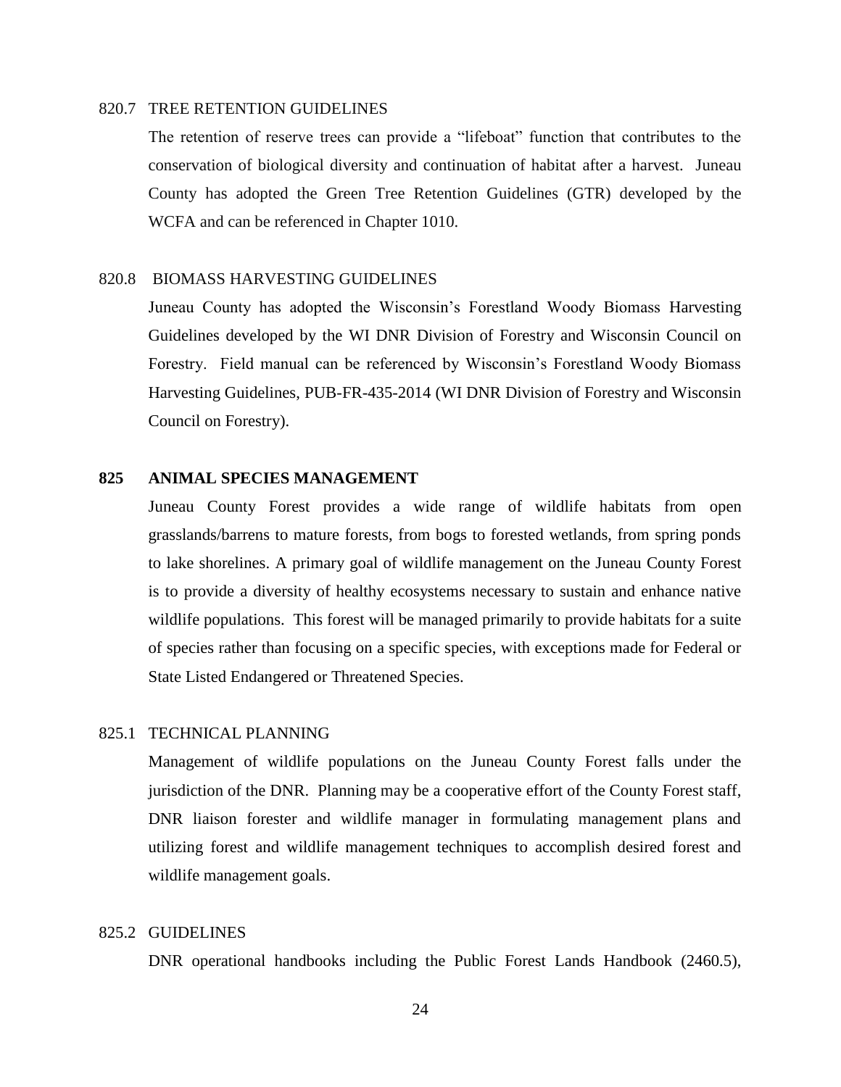# 820.7 TREE RETENTION GUIDELINES

The retention of reserve trees can provide a "lifeboat" function that contributes to the conservation of biological diversity and continuation of habitat after a harvest. Juneau County has adopted the Green Tree Retention Guidelines (GTR) developed by the WCFA and can be referenced in Chapter 1010.

# 820.8 BIOMASS HARVESTING GUIDELINES

Juneau County has adopted the Wisconsin's Forestland Woody Biomass Harvesting Guidelines developed by the WI DNR Division of Forestry and Wisconsin Council on Forestry. Field manual can be referenced by Wisconsin's Forestland Woody Biomass Harvesting Guidelines, PUB-FR-435-2014 (WI DNR Division of Forestry and Wisconsin Council on Forestry).

# **825 ANIMAL SPECIES MANAGEMENT**

Juneau County Forest provides a wide range of wildlife habitats from open grasslands/barrens to mature forests, from bogs to forested wetlands, from spring ponds to lake shorelines. A primary goal of wildlife management on the Juneau County Forest is to provide a diversity of healthy ecosystems necessary to sustain and enhance native wildlife populations. This forest will be managed primarily to provide habitats for a suite of species rather than focusing on a specific species, with exceptions made for Federal or State Listed Endangered or Threatened Species.

# 825.1 TECHNICAL PLANNING

Management of wildlife populations on the Juneau County Forest falls under the jurisdiction of the DNR. Planning may be a cooperative effort of the County Forest staff, DNR liaison forester and wildlife manager in formulating management plans and utilizing forest and wildlife management techniques to accomplish desired forest and wildlife management goals.

#### 825.2 GUIDELINES

DNR operational handbooks including the Public Forest Lands Handbook (2460.5),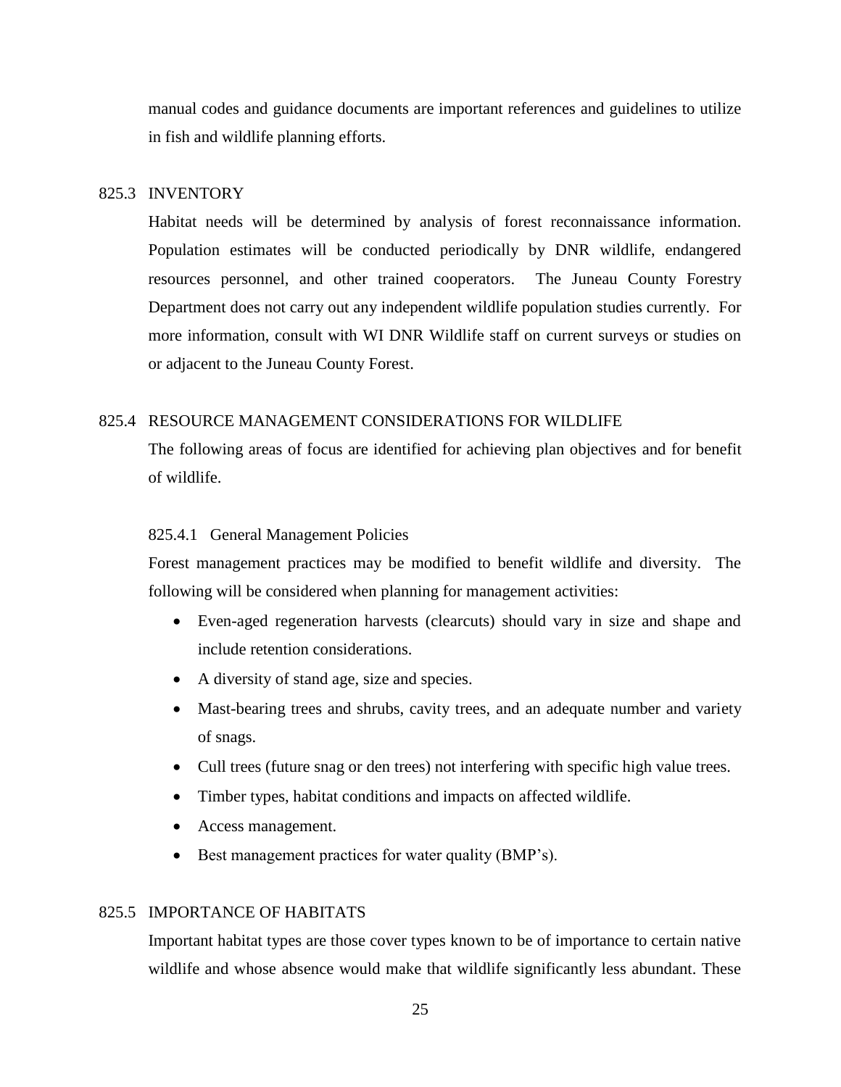manual codes and guidance documents are important references and guidelines to utilize in fish and wildlife planning efforts.

# 825.3 INVENTORY

Habitat needs will be determined by analysis of forest reconnaissance information. Population estimates will be conducted periodically by DNR wildlife, endangered resources personnel, and other trained cooperators. The Juneau County Forestry Department does not carry out any independent wildlife population studies currently. For more information, consult with WI DNR Wildlife staff on current surveys or studies on or adjacent to the Juneau County Forest.

#### 825.4 RESOURCE MANAGEMENT CONSIDERATIONS FOR WILDLIFE

The following areas of focus are identified for achieving plan objectives and for benefit of wildlife.

# 825.4.1 General Management Policies

Forest management practices may be modified to benefit wildlife and diversity. The following will be considered when planning for management activities:

- Even-aged regeneration harvests (clearcuts) should vary in size and shape and include retention considerations.
- A diversity of stand age, size and species.
- Mast-bearing trees and shrubs, cavity trees, and an adequate number and variety of snags.
- Cull trees (future snag or den trees) not interfering with specific high value trees.
- Timber types, habitat conditions and impacts on affected wildlife.
- Access management.
- Best management practices for water quality (BMP's).

# 825.5 IMPORTANCE OF HABITATS

Important habitat types are those cover types known to be of importance to certain native wildlife and whose absence would make that wildlife significantly less abundant. These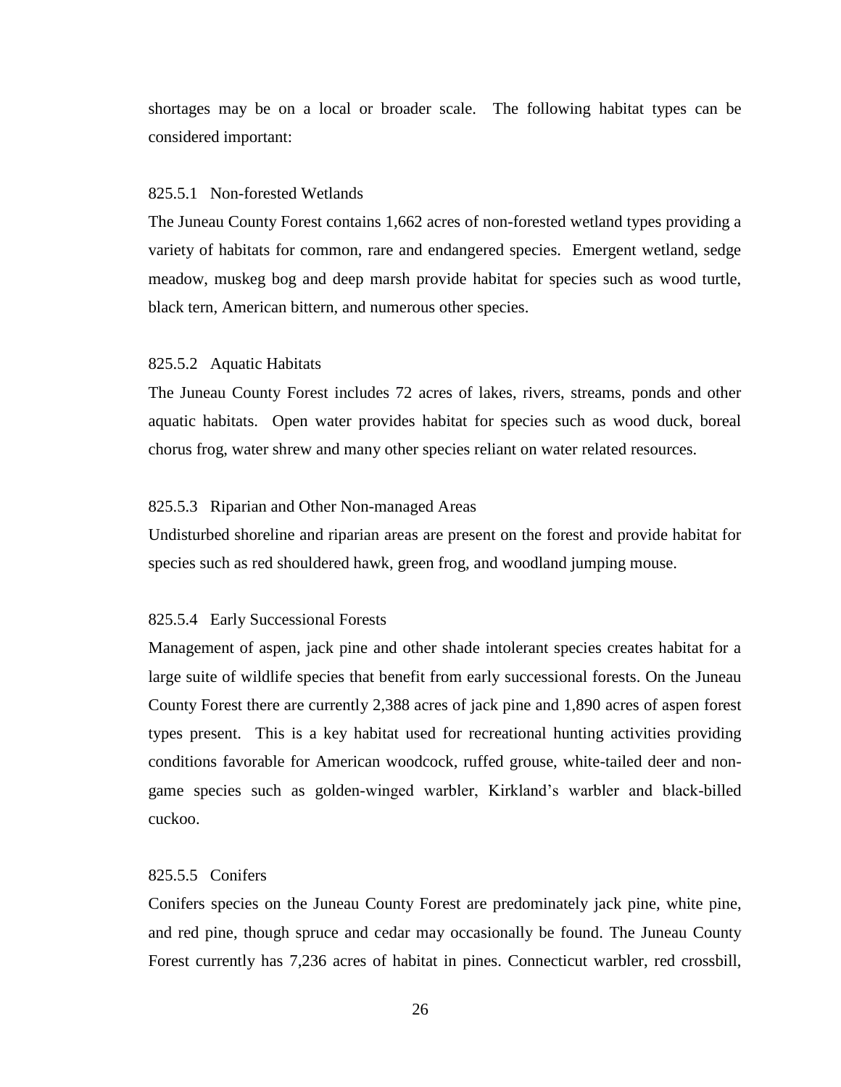shortages may be on a local or broader scale. The following habitat types can be considered important:

#### 825.5.1 Non-forested Wetlands

The Juneau County Forest contains 1,662 acres of non-forested wetland types providing a variety of habitats for common, rare and endangered species. Emergent wetland, sedge meadow, muskeg bog and deep marsh provide habitat for species such as wood turtle, black tern, American bittern, and numerous other species.

### 825.5.2 Aquatic Habitats

The Juneau County Forest includes 72 acres of lakes, rivers, streams, ponds and other aquatic habitats. Open water provides habitat for species such as wood duck, boreal chorus frog, water shrew and many other species reliant on water related resources.

#### 825.5.3 Riparian and Other Non-managed Areas

Undisturbed shoreline and riparian areas are present on the forest and provide habitat for species such as red shouldered hawk, green frog, and woodland jumping mouse.

#### 825.5.4 Early Successional Forests

Management of aspen, jack pine and other shade intolerant species creates habitat for a large suite of wildlife species that benefit from early successional forests. On the Juneau County Forest there are currently 2,388 acres of jack pine and 1,890 acres of aspen forest types present. This is a key habitat used for recreational hunting activities providing conditions favorable for American woodcock, ruffed grouse, white-tailed deer and nongame species such as golden-winged warbler, Kirkland's warbler and black-billed cuckoo.

# 825.5.5 Conifers

Conifers species on the Juneau County Forest are predominately jack pine, white pine, and red pine, though spruce and cedar may occasionally be found. The Juneau County Forest currently has 7,236 acres of habitat in pines. Connecticut warbler, red crossbill,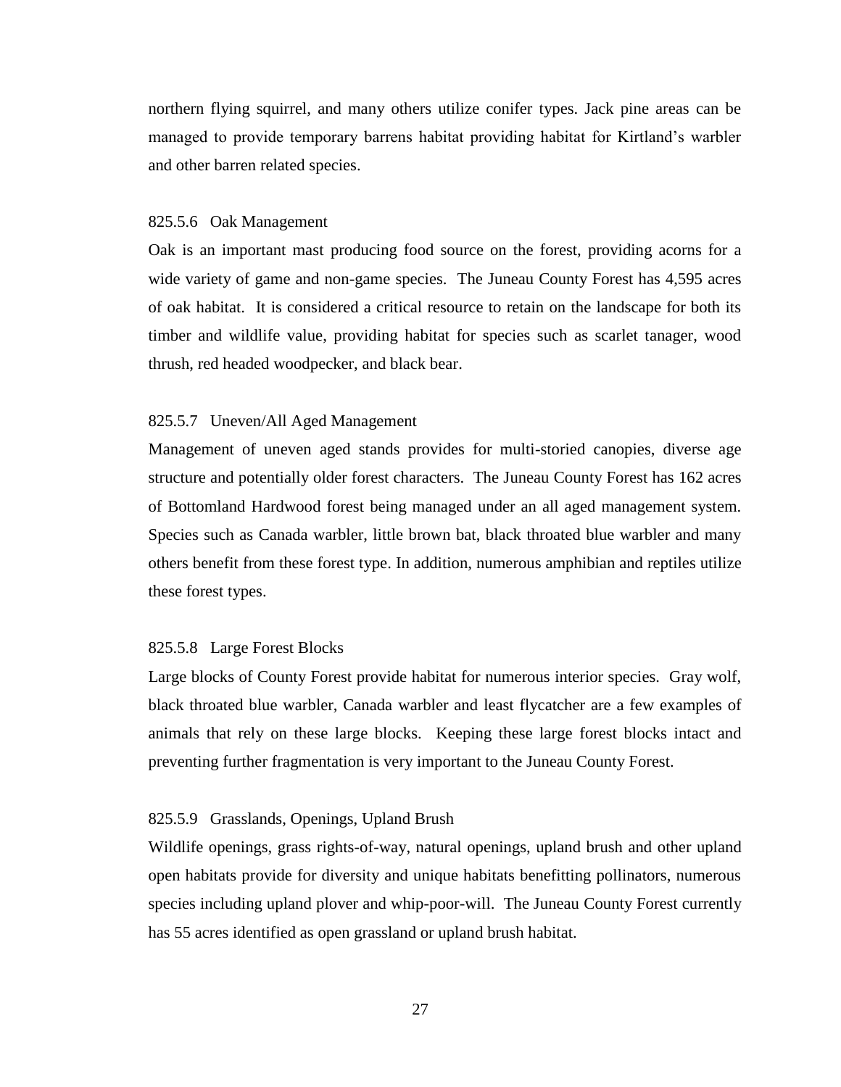northern flying squirrel, and many others utilize conifer types. Jack pine areas can be managed to provide temporary barrens habitat providing habitat for Kirtland's warbler and other barren related species.

#### 825.5.6 Oak Management

Oak is an important mast producing food source on the forest, providing acorns for a wide variety of game and non-game species. The Juneau County Forest has 4,595 acres of oak habitat. It is considered a critical resource to retain on the landscape for both its timber and wildlife value, providing habitat for species such as scarlet tanager, wood thrush, red headed woodpecker, and black bear.

#### 825.5.7 Uneven/All Aged Management

Management of uneven aged stands provides for multi-storied canopies, diverse age structure and potentially older forest characters. The Juneau County Forest has 162 acres of Bottomland Hardwood forest being managed under an all aged management system. Species such as Canada warbler, little brown bat, black throated blue warbler and many others benefit from these forest type. In addition, numerous amphibian and reptiles utilize these forest types.

#### 825.5.8 Large Forest Blocks

Large blocks of County Forest provide habitat for numerous interior species. Gray wolf, black throated blue warbler, Canada warbler and least flycatcher are a few examples of animals that rely on these large blocks. Keeping these large forest blocks intact and preventing further fragmentation is very important to the Juneau County Forest.

#### 825.5.9 Grasslands, Openings, Upland Brush

Wildlife openings, grass rights-of-way, natural openings, upland brush and other upland open habitats provide for diversity and unique habitats benefitting pollinators, numerous species including upland plover and whip-poor-will. The Juneau County Forest currently has 55 acres identified as open grassland or upland brush habitat.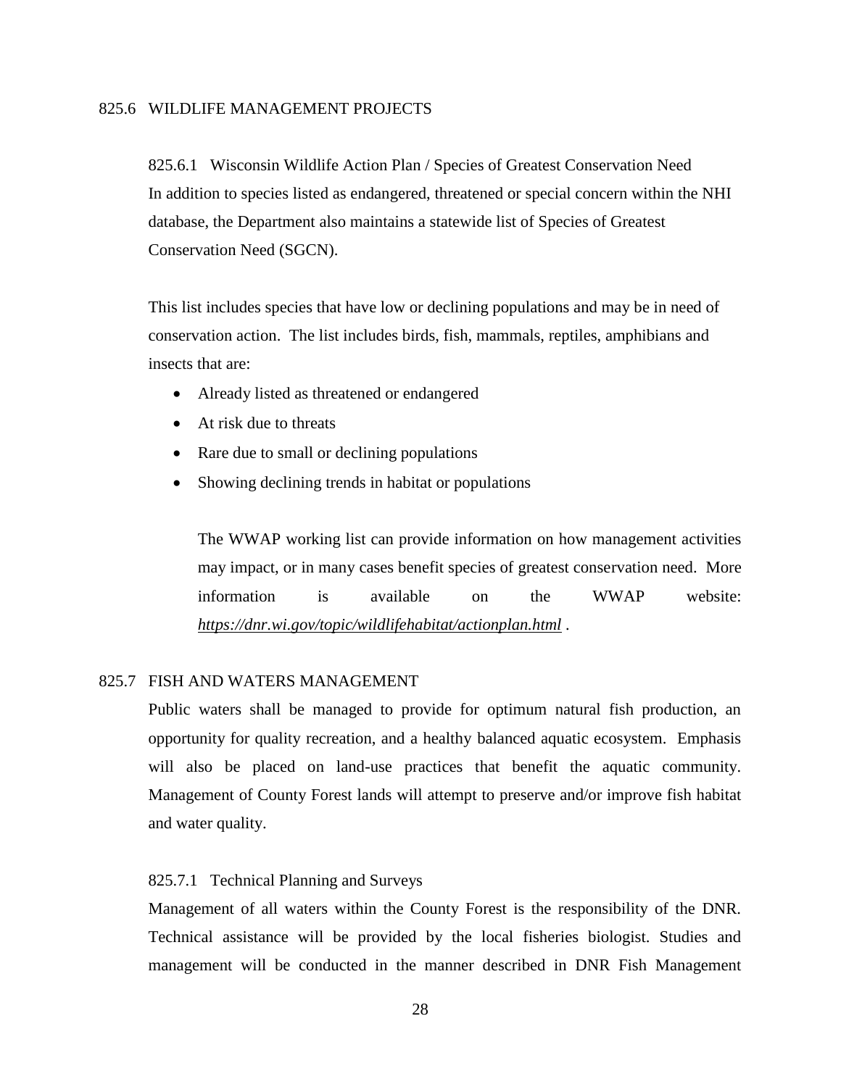# 825.6 WILDLIFE MANAGEMENT PROJECTS

 825.6.1 Wisconsin Wildlife Action Plan / Species of Greatest Conservation Need In addition to species listed as endangered, threatened or special concern within the NHI database, the Department also maintains a statewide list of Species of Greatest Conservation Need (SGCN).

This list includes species that have low or declining populations and may be in need of conservation action. The list includes birds, fish, mammals, reptiles, amphibians and insects that are:

- Already listed as threatened or endangered
- At risk due to threats
- Rare due to small or declining populations
- Showing declining trends in habitat or populations

The WWAP working list can provide information on how management activities may impact, or in many cases benefit species of greatest conservation need. More information is available on the WWAP website: *<https://dnr.wi.gov/topic/wildlifehabitat/actionplan.html> .*

# 825.7 FISH AND WATERS MANAGEMENT

Public waters shall be managed to provide for optimum natural fish production, an opportunity for quality recreation, and a healthy balanced aquatic ecosystem. Emphasis will also be placed on land-use practices that benefit the aquatic community. Management of County Forest lands will attempt to preserve and/or improve fish habitat and water quality.

#### 825.7.1 Technical Planning and Surveys

Management of all waters within the County Forest is the responsibility of the DNR. Technical assistance will be provided by the local fisheries biologist. Studies and management will be conducted in the manner described in DNR Fish Management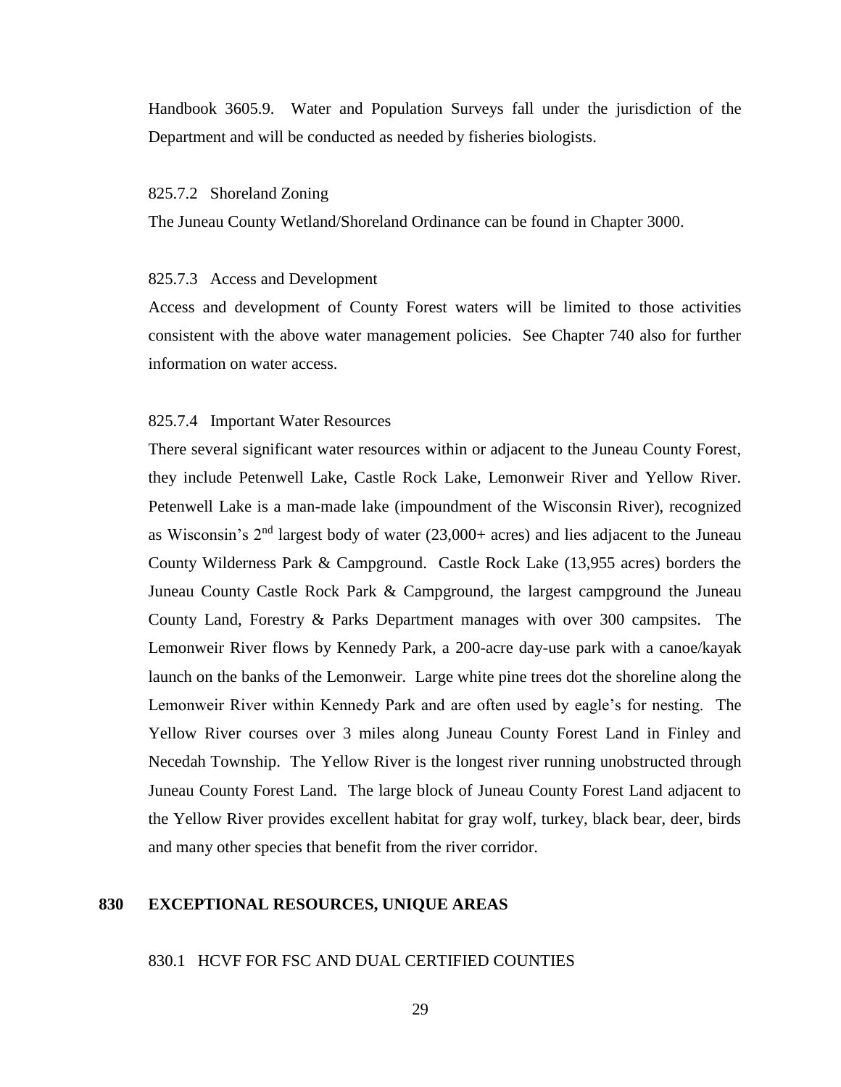Handbook 3605.9. Water and Population Surveys fall under the jurisdiction of the Department and will be conducted as needed by fisheries biologists.

#### 825.7.2 Shoreland Zoning

The Juneau County Wetland/Shoreland Ordinance can be found in Chapter 3000.

#### 825.7.3 Access and Development

Access and development of County Forest waters will be limited to those activities consistent with the above water management policies. See Chapter 740 also for further information on water access.

#### 825.7.4 Important Water Resources

There several significant water resources within or adjacent to the Juneau County Forest, they include Petenwell Lake, Castle Rock Lake, Lemonweir River and Yellow River. Petenwell Lake is a man-made lake (impoundment of the Wisconsin River), recognized as Wisconsin's 2nd largest body of water (23,000+ acres) and lies adjacent to the Juneau County Wilderness Park & Campground. Castle Rock Lake (13,955 acres) borders the Juneau County Castle Rock Park & Campground, the largest campground the Juneau County Land, Forestry & Parks Department manages with over 300 campsites. The Lemonweir River flows by Kennedy Park, a 200-acre day-use park with a canoe/kayak launch on the banks of the Lemonweir. Large white pine trees dot the shoreline along the Lemonweir River within Kennedy Park and are often used by eagle's for nesting. The Yellow River courses over 3 miles along Juneau County Forest Land in Finley and Necedah Township. The Yellow River is the longest river running unobstructed through Juneau County Forest Land. The large block of Juneau County Forest Land adjacent to the Yellow River provides excellent habitat for gray wolf, turkey, black bear, deer, birds and many other species that benefit from the river corridor.

# **830 EXCEPTIONAL RESOURCES, UNIQUE AREAS**

#### 830.1 HCVF FOR FSC AND DUAL CERTIFIED COUNTIES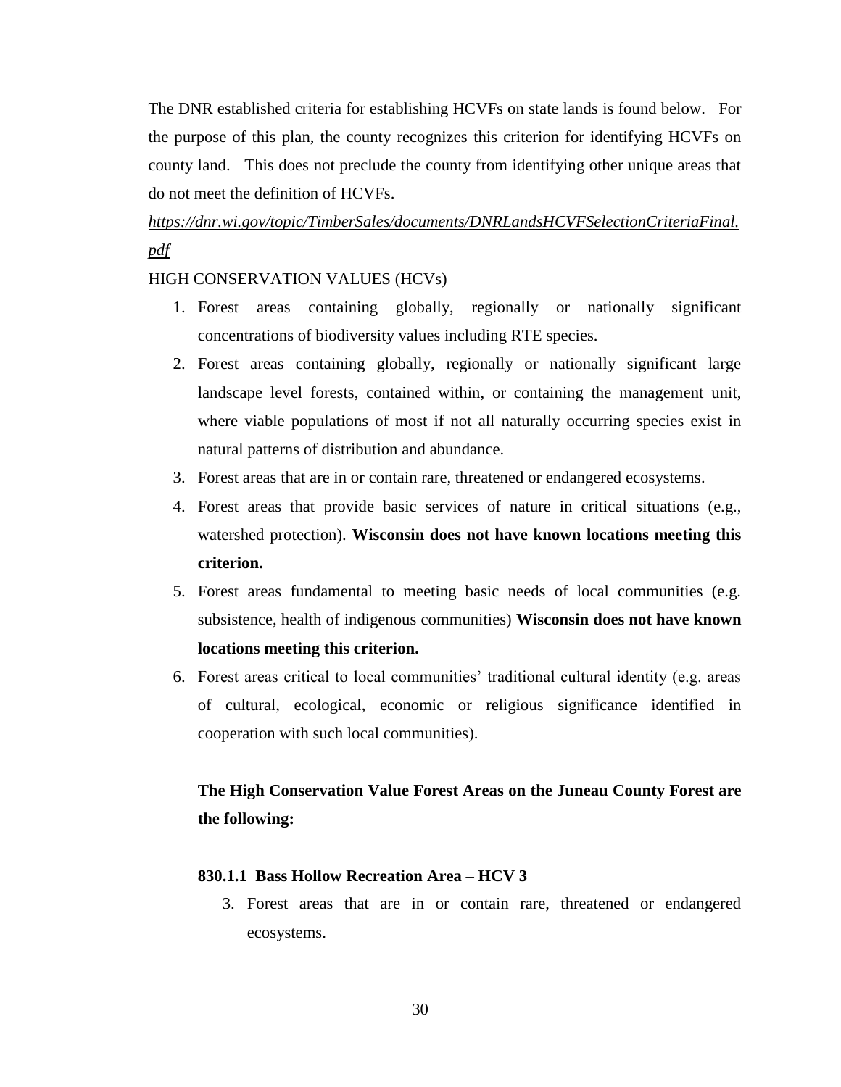The DNR established criteria for establishing HCVFs on state lands is found below. For the purpose of this plan, the county recognizes this criterion for identifying HCVFs on county land. This does not preclude the county from identifying other unique areas that do not meet the definition of HCVFs.

# *[https://dnr.wi.gov/topic/TimberSales/documents/DNRLandsHCVFSelectionCriteriaFinal.](https://dnr.wi.gov/topic/TimberSales/documents/DNRLandsHCVFSelectionCriteriaFinal.pdf) [pdf](https://dnr.wi.gov/topic/TimberSales/documents/DNRLandsHCVFSelectionCriteriaFinal.pdf)*

# HIGH CONSERVATION VALUES (HCVs)

- 1. Forest areas containing globally, regionally or nationally significant concentrations of biodiversity values including RTE species.
- 2. Forest areas containing globally, regionally or nationally significant large landscape level forests, contained within, or containing the management unit, where viable populations of most if not all naturally occurring species exist in natural patterns of distribution and abundance.
- 3. Forest areas that are in or contain rare, threatened or endangered ecosystems.
- 4. Forest areas that provide basic services of nature in critical situations (e.g., watershed protection). **Wisconsin does not have known locations meeting this criterion.**
- 5. Forest areas fundamental to meeting basic needs of local communities (e.g. subsistence, health of indigenous communities) **Wisconsin does not have known locations meeting this criterion.**
- 6. Forest areas critical to local communities' traditional cultural identity (e.g. areas of cultural, ecological, economic or religious significance identified in cooperation with such local communities).

# **The High Conservation Value Forest Areas on the Juneau County Forest are the following:**

# **830.1.1 Bass Hollow Recreation Area – HCV 3**

3. Forest areas that are in or contain rare, threatened or endangered ecosystems.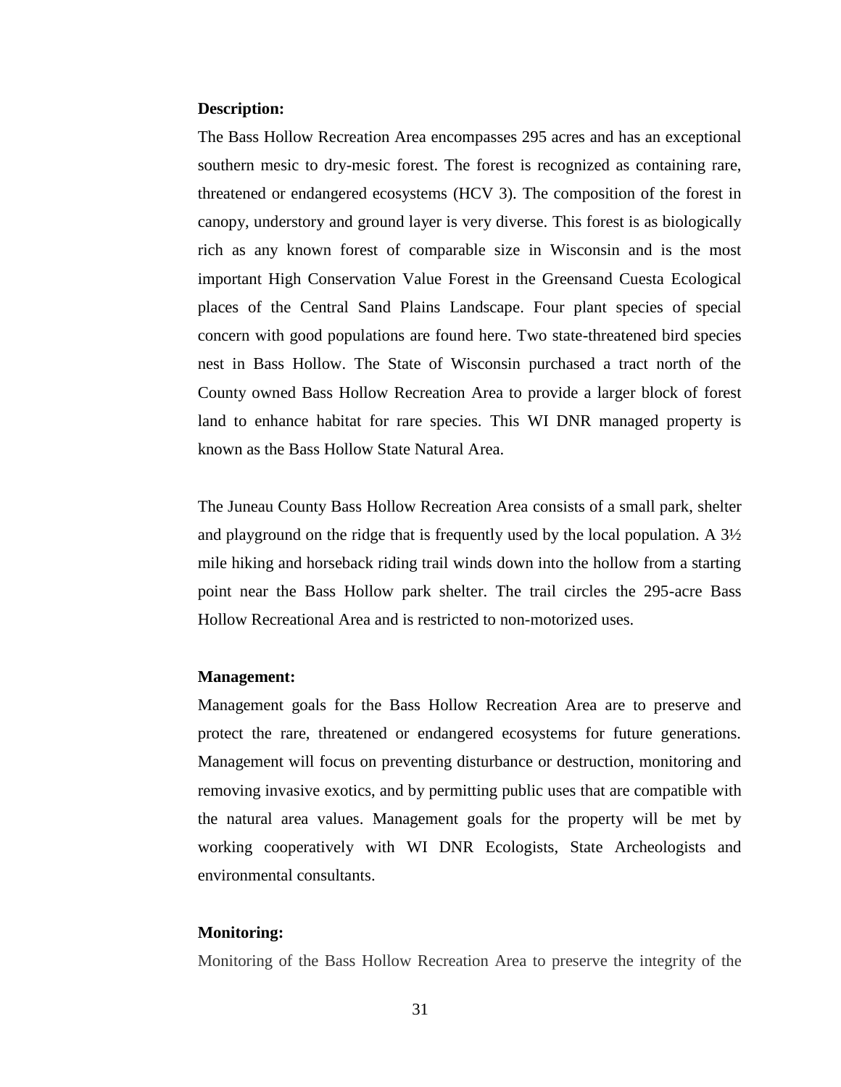#### **Description:**

The Bass Hollow Recreation Area encompasses 295 acres and has an exceptional southern mesic to dry-mesic forest. The forest is recognized as containing rare, threatened or endangered ecosystems (HCV 3). The composition of the forest in canopy, understory and ground layer is very diverse. This forest is as biologically rich as any known forest of comparable size in Wisconsin and is the most important High Conservation Value Forest in the Greensand Cuesta Ecological places of the Central Sand Plains Landscape. Four plant species of special concern with good populations are found here. Two state-threatened bird species nest in Bass Hollow. The State of Wisconsin purchased a tract north of the County owned Bass Hollow Recreation Area to provide a larger block of forest land to enhance habitat for rare species. This WI DNR managed property is known as the Bass Hollow State Natural Area.

The Juneau County Bass Hollow Recreation Area consists of a small park, shelter and playground on the ridge that is frequently used by the local population. A 3½ mile hiking and horseback riding trail winds down into the hollow from a starting point near the Bass Hollow park shelter. The trail circles the 295-acre Bass Hollow Recreational Area and is restricted to non-motorized uses.

#### **Management:**

Management goals for the Bass Hollow Recreation Area are to preserve and protect the rare, threatened or endangered ecosystems for future generations. Management will focus on preventing disturbance or destruction, monitoring and removing invasive exotics, and by permitting public uses that are compatible with the natural area values. Management goals for the property will be met by working cooperatively with WI DNR Ecologists, State Archeologists and environmental consultants.

#### **Monitoring:**

Monitoring of the Bass Hollow Recreation Area to preserve the integrity of the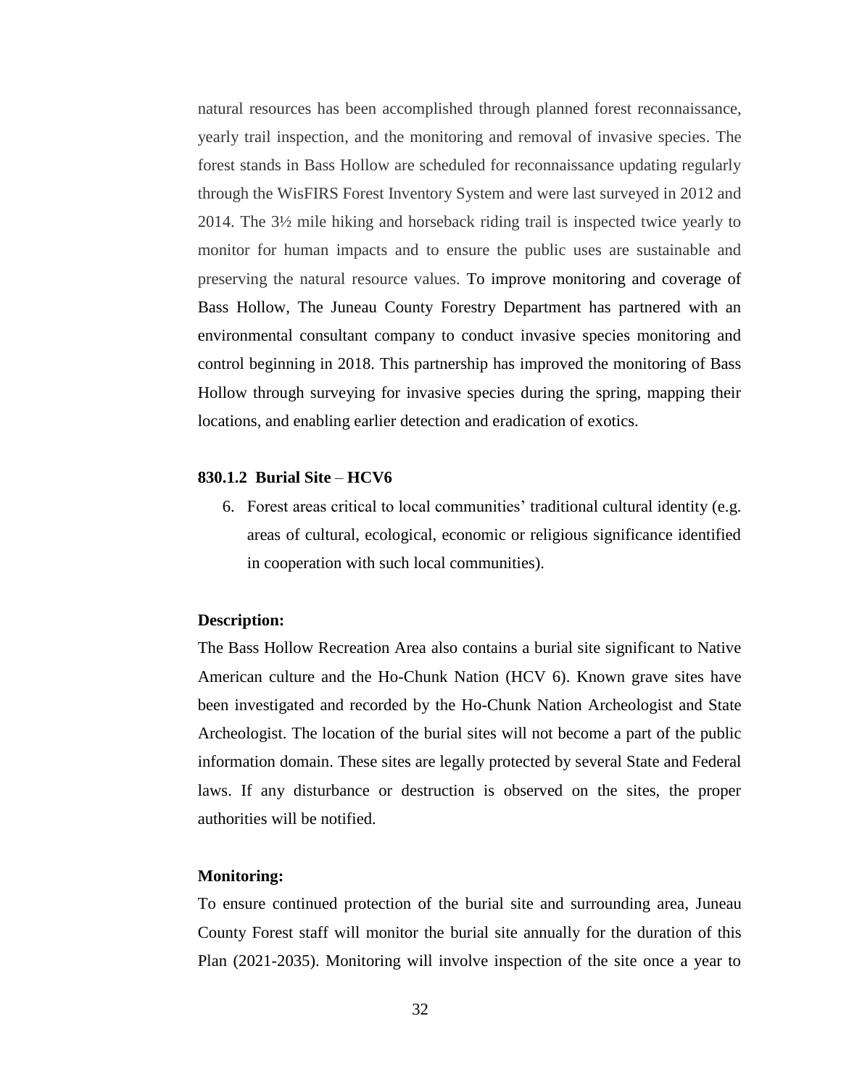natural resources has been accomplished through planned forest reconnaissance, yearly trail inspection, and the monitoring and removal of invasive species. The forest stands in Bass Hollow are scheduled for reconnaissance updating regularly through the WisFIRS Forest Inventory System and were last surveyed in 2012 and 2014. The 3½ mile hiking and horseback riding trail is inspected twice yearly to monitor for human impacts and to ensure the public uses are sustainable and preserving the natural resource values. To improve monitoring and coverage of Bass Hollow, The Juneau County Forestry Department has partnered with an environmental consultant company to conduct invasive species monitoring and control beginning in 2018. This partnership has improved the monitoring of Bass Hollow through surveying for invasive species during the spring, mapping their locations, and enabling earlier detection and eradication of exotics.

## **830.1.2 Burial Site** – **HCV6**

6. Forest areas critical to local communities' traditional cultural identity (e.g. areas of cultural, ecological, economic or religious significance identified in cooperation with such local communities).

# **Description:**

The Bass Hollow Recreation Area also contains a burial site significant to Native American culture and the Ho-Chunk Nation (HCV 6). Known grave sites have been investigated and recorded by the Ho-Chunk Nation Archeologist and State Archeologist. The location of the burial sites will not become a part of the public information domain. These sites are legally protected by several State and Federal laws. If any disturbance or destruction is observed on the sites, the proper authorities will be notified.

# **Monitoring:**

To ensure continued protection of the burial site and surrounding area, Juneau County Forest staff will monitor the burial site annually for the duration of this Plan (2021-2035). Monitoring will involve inspection of the site once a year to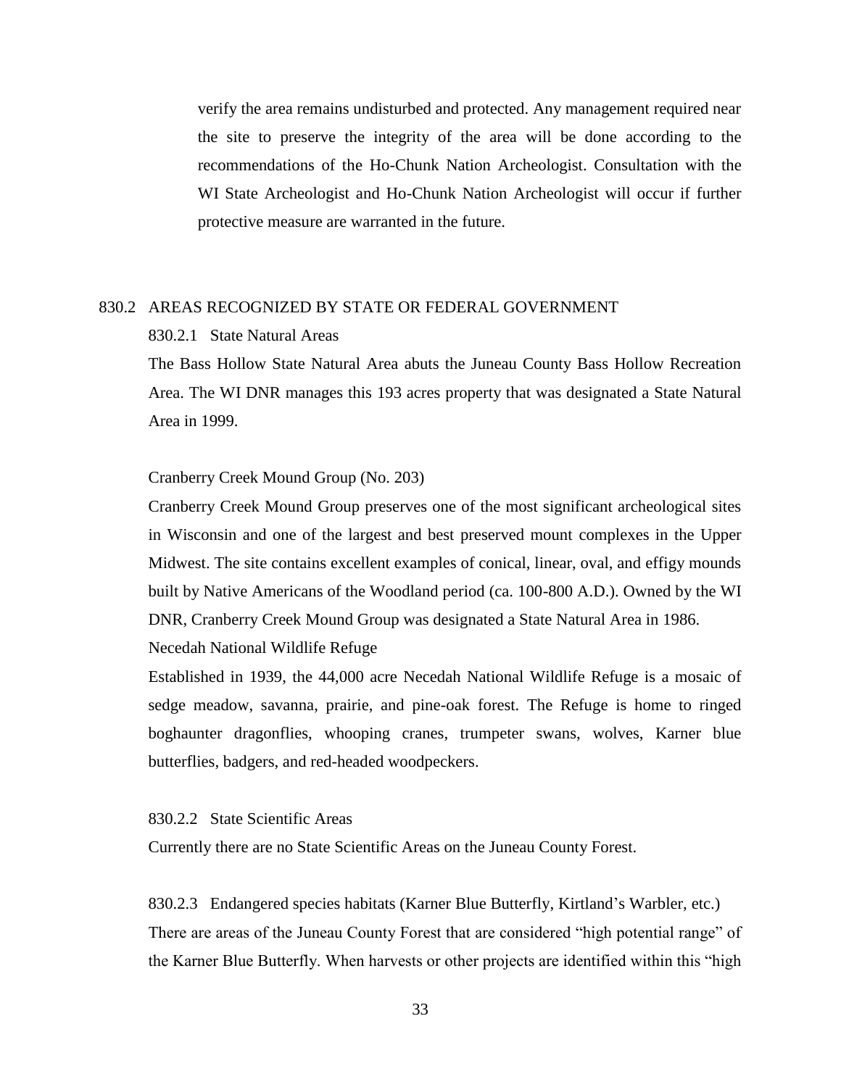verify the area remains undisturbed and protected. Any management required near the site to preserve the integrity of the area will be done according to the recommendations of the Ho-Chunk Nation Archeologist. Consultation with the WI State Archeologist and Ho-Chunk Nation Archeologist will occur if further protective measure are warranted in the future.

# 830.2 AREAS RECOGNIZED BY STATE OR FEDERAL GOVERNMENT

# 830.2.1 State Natural Areas

The Bass Hollow State Natural Area abuts the Juneau County Bass Hollow Recreation Area. The WI DNR manages this 193 acres property that was designated a State Natural Area in 1999.

#### Cranberry Creek Mound Group (No. 203)

Cranberry Creek Mound Group preserves one of the most significant archeological sites in Wisconsin and one of the largest and best preserved mount complexes in the Upper Midwest. The site contains excellent examples of conical, linear, oval, and effigy mounds built by Native Americans of the Woodland period (ca. 100-800 A.D.). Owned by the WI DNR, Cranberry Creek Mound Group was designated a State Natural Area in 1986.

# Necedah National Wildlife Refuge

Established in 1939, the 44,000 acre Necedah National Wildlife Refuge is a mosaic of sedge meadow, savanna, prairie, and pine-oak forest. The Refuge is home to ringed boghaunter dragonflies, whooping cranes, trumpeter swans, wolves, Karner blue butterflies, badgers, and red-headed woodpeckers.

# 830.2.2 State Scientific Areas

Currently there are no State Scientific Areas on the Juneau County Forest.

830.2.3 Endangered species habitats (Karner Blue Butterfly, Kirtland's Warbler, etc.) There are areas of the Juneau County Forest that are considered "high potential range" of the Karner Blue Butterfly. When harvests or other projects are identified within this "high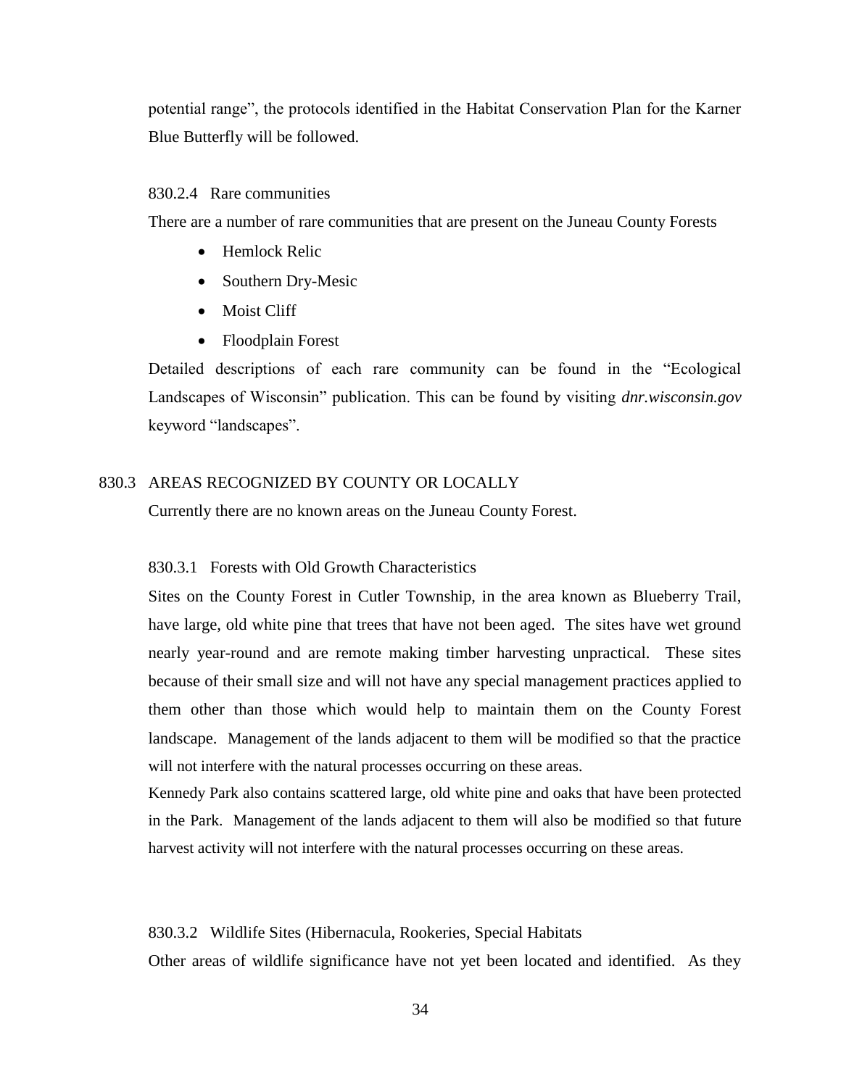potential range", the protocols identified in the Habitat Conservation Plan for the Karner Blue Butterfly will be followed.

# 830.2.4 Rare communities

There are a number of rare communities that are present on the Juneau County Forests

- Hemlock Relic
- Southern Dry-Mesic
- Moist Cliff
- Floodplain Forest

Detailed descriptions of each rare community can be found in the "Ecological Landscapes of Wisconsin" publication. This can be found by visiting *dnr.wisconsin.gov* keyword "landscapes".

# 830.3 AREAS RECOGNIZED BY COUNTY OR LOCALLY

Currently there are no known areas on the Juneau County Forest.

### 830.3.1 Forests with Old Growth Characteristics

Sites on the County Forest in Cutler Township, in the area known as Blueberry Trail, have large, old white pine that trees that have not been aged. The sites have wet ground nearly year-round and are remote making timber harvesting unpractical. These sites because of their small size and will not have any special management practices applied to them other than those which would help to maintain them on the County Forest landscape. Management of the lands adjacent to them will be modified so that the practice will not interfere with the natural processes occurring on these areas.

Kennedy Park also contains scattered large, old white pine and oaks that have been protected in the Park. Management of the lands adjacent to them will also be modified so that future harvest activity will not interfere with the natural processes occurring on these areas.

#### 830.3.2 Wildlife Sites (Hibernacula, Rookeries, Special Habitats

Other areas of wildlife significance have not yet been located and identified. As they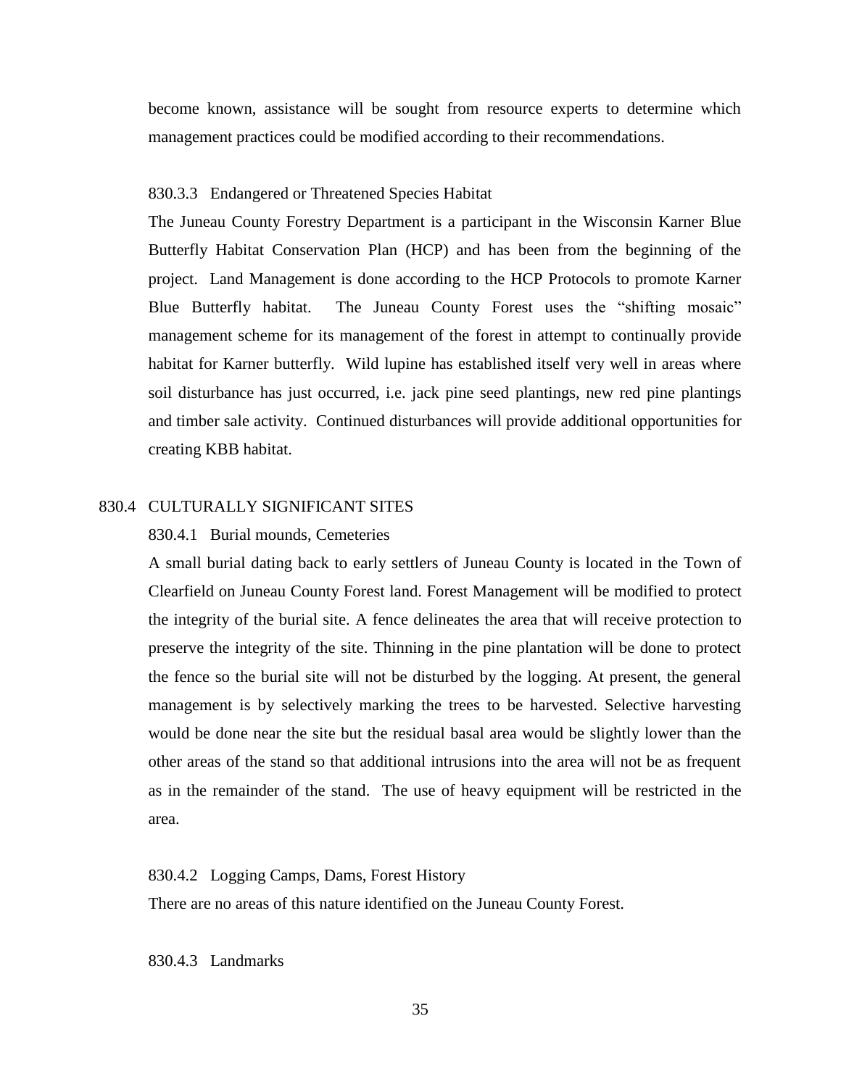become known, assistance will be sought from resource experts to determine which management practices could be modified according to their recommendations.

#### 830.3.3 Endangered or Threatened Species Habitat

The Juneau County Forestry Department is a participant in the Wisconsin Karner Blue Butterfly Habitat Conservation Plan (HCP) and has been from the beginning of the project. Land Management is done according to the HCP Protocols to promote Karner Blue Butterfly habitat. The Juneau County Forest uses the "shifting mosaic" management scheme for its management of the forest in attempt to continually provide habitat for Karner butterfly. Wild lupine has established itself very well in areas where soil disturbance has just occurred, i.e. jack pine seed plantings, new red pine plantings and timber sale activity. Continued disturbances will provide additional opportunities for creating KBB habitat.

# 830.4 CULTURALLY SIGNIFICANT SITES

# 830.4.1 Burial mounds, Cemeteries

A small burial dating back to early settlers of Juneau County is located in the Town of Clearfield on Juneau County Forest land. Forest Management will be modified to protect the integrity of the burial site. A fence delineates the area that will receive protection to preserve the integrity of the site. Thinning in the pine plantation will be done to protect the fence so the burial site will not be disturbed by the logging. At present, the general management is by selectively marking the trees to be harvested. Selective harvesting would be done near the site but the residual basal area would be slightly lower than the other areas of the stand so that additional intrusions into the area will not be as frequent as in the remainder of the stand. The use of heavy equipment will be restricted in the area.

# 830.4.2 Logging Camps, Dams, Forest History There are no areas of this nature identified on the Juneau County Forest.

830.4.3 Landmarks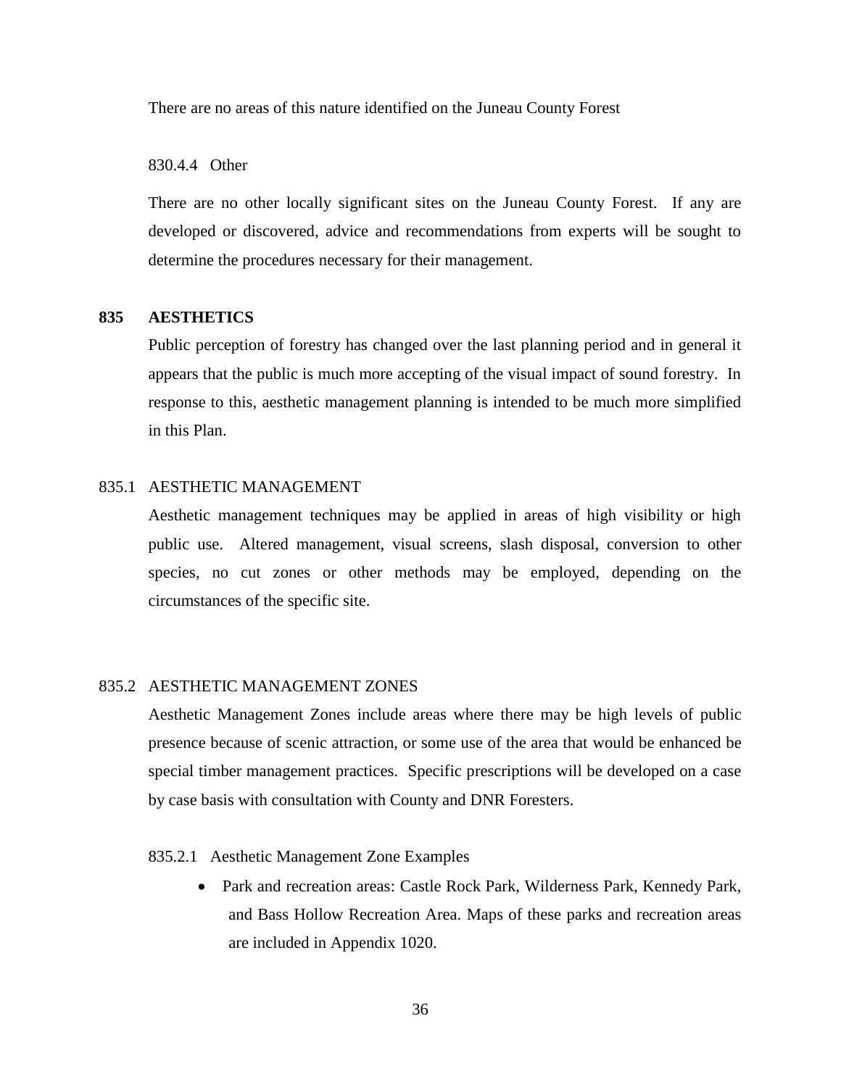There are no areas of this nature identified on the Juneau County Forest

830.4.4 Other

There are no other locally significant sites on the Juneau County Forest. If any are developed or discovered, advice and recommendations from experts will be sought to determine the procedures necessary for their management.

# **835 AESTHETICS**

Public perception of forestry has changed over the last planning period and in general it appears that the public is much more accepting of the visual impact of sound forestry. In response to this, aesthetic management planning is intended to be much more simplified in this Plan.

#### 835.1 AESTHETIC MANAGEMENT

Aesthetic management techniques may be applied in areas of high visibility or high public use. Altered management, visual screens, slash disposal, conversion to other species, no cut zones or other methods may be employed, depending on the circumstances of the specific site.

# 835.2AESTHETIC MANAGEMENT ZONES

Aesthetic Management Zones include areas where there may be high levels of public presence because of scenic attraction, or some use of the area that would be enhanced be special timber management practices. Specific prescriptions will be developed on a case by case basis with consultation with County and DNR Foresters.

# 835.2.1 Aesthetic Management Zone Examples

 Park and recreation areas: Castle Rock Park, Wilderness Park, Kennedy Park, and Bass Hollow Recreation Area. Maps of these parks and recreation areas are included in Appendix 1020.